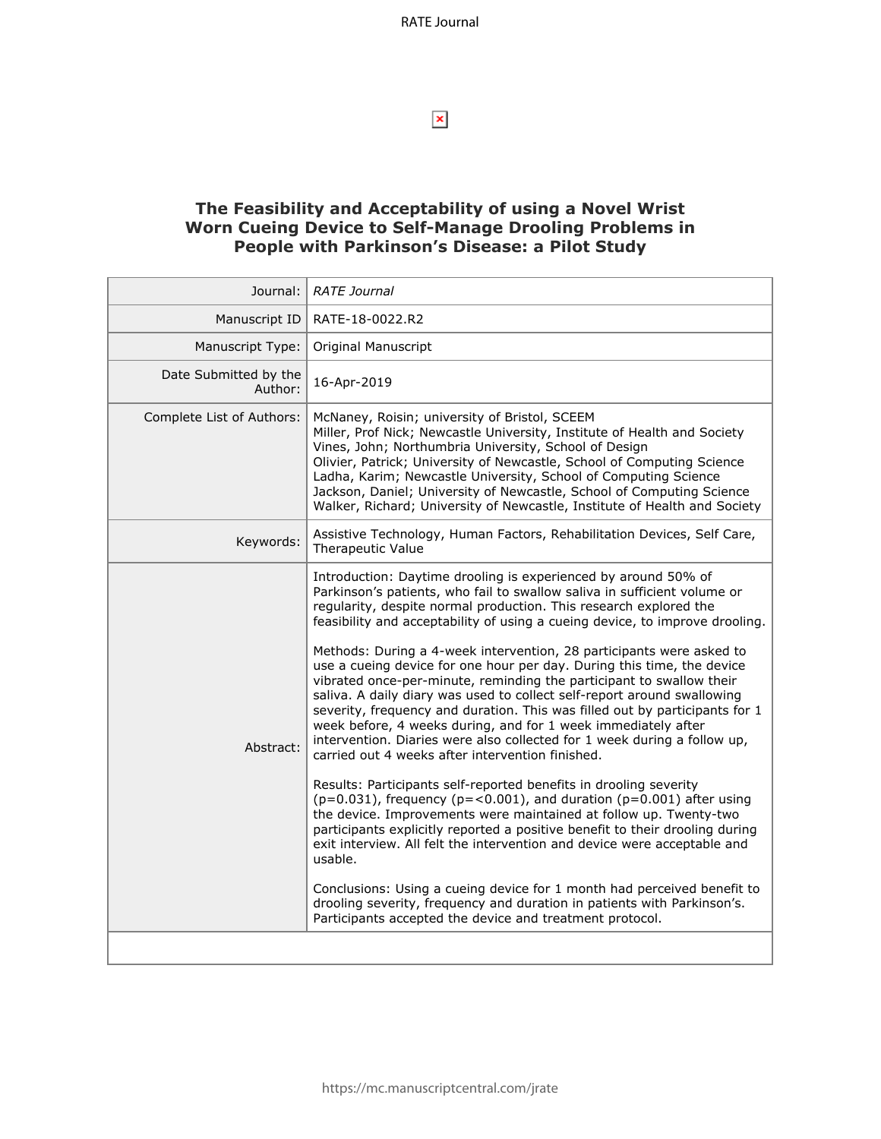$\pmb{\times}$ 

### **The Feasibility and Acceptability of using a Novel Wrist Worn Cueing Device to Self-Manage Drooling Problems in People with Parkinson's Disease: a Pilot Study**

| Journal:                         | <b>RATE Journal</b>                                                                                                                                                                                                                                                                                                                                                                                                                                                                                                                                                                                                                                                                                                                                                                                                                                                                                                                                                                                                                                                                                                                                                                                                                                                                                                                                                                                                                                                                                       |  |
|----------------------------------|-----------------------------------------------------------------------------------------------------------------------------------------------------------------------------------------------------------------------------------------------------------------------------------------------------------------------------------------------------------------------------------------------------------------------------------------------------------------------------------------------------------------------------------------------------------------------------------------------------------------------------------------------------------------------------------------------------------------------------------------------------------------------------------------------------------------------------------------------------------------------------------------------------------------------------------------------------------------------------------------------------------------------------------------------------------------------------------------------------------------------------------------------------------------------------------------------------------------------------------------------------------------------------------------------------------------------------------------------------------------------------------------------------------------------------------------------------------------------------------------------------------|--|
| Manuscript ID                    | RATE-18-0022.R2                                                                                                                                                                                                                                                                                                                                                                                                                                                                                                                                                                                                                                                                                                                                                                                                                                                                                                                                                                                                                                                                                                                                                                                                                                                                                                                                                                                                                                                                                           |  |
| Manuscript Type:                 | Original Manuscript                                                                                                                                                                                                                                                                                                                                                                                                                                                                                                                                                                                                                                                                                                                                                                                                                                                                                                                                                                                                                                                                                                                                                                                                                                                                                                                                                                                                                                                                                       |  |
| Date Submitted by the<br>Author: | 16-Apr-2019                                                                                                                                                                                                                                                                                                                                                                                                                                                                                                                                                                                                                                                                                                                                                                                                                                                                                                                                                                                                                                                                                                                                                                                                                                                                                                                                                                                                                                                                                               |  |
| Complete List of Authors:        | McNaney, Roisin; university of Bristol, SCEEM<br>Miller, Prof Nick; Newcastle University, Institute of Health and Society<br>Vines, John; Northumbria University, School of Design<br>Olivier, Patrick; University of Newcastle, School of Computing Science<br>Ladha, Karim; Newcastle University, School of Computing Science<br>Jackson, Daniel; University of Newcastle, School of Computing Science<br>Walker, Richard; University of Newcastle, Institute of Health and Society                                                                                                                                                                                                                                                                                                                                                                                                                                                                                                                                                                                                                                                                                                                                                                                                                                                                                                                                                                                                                     |  |
| Keywords:                        | Assistive Technology, Human Factors, Rehabilitation Devices, Self Care,<br>Therapeutic Value                                                                                                                                                                                                                                                                                                                                                                                                                                                                                                                                                                                                                                                                                                                                                                                                                                                                                                                                                                                                                                                                                                                                                                                                                                                                                                                                                                                                              |  |
| Abstract:                        | Introduction: Daytime drooling is experienced by around 50% of<br>Parkinson's patients, who fail to swallow saliva in sufficient volume or<br>regularity, despite normal production. This research explored the<br>feasibility and acceptability of using a cueing device, to improve drooling.<br>Methods: During a 4-week intervention, 28 participants were asked to<br>use a cueing device for one hour per day. During this time, the device<br>vibrated once-per-minute, reminding the participant to swallow their<br>saliva. A daily diary was used to collect self-report around swallowing<br>severity, frequency and duration. This was filled out by participants for 1<br>week before, 4 weeks during, and for 1 week immediately after<br>intervention. Diaries were also collected for 1 week during a follow up,<br>carried out 4 weeks after intervention finished.<br>Results: Participants self-reported benefits in drooling severity<br>$(p=0.031)$ , frequency ( $p=<0.001$ ), and duration ( $p=0.001$ ) after using<br>the device. Improvements were maintained at follow up. Twenty-two<br>participants explicitly reported a positive benefit to their drooling during<br>exit interview. All felt the intervention and device were acceptable and<br>usable.<br>Conclusions: Using a cueing device for 1 month had perceived benefit to<br>drooling severity, frequency and duration in patients with Parkinson's.<br>Participants accepted the device and treatment protocol. |  |
|                                  |                                                                                                                                                                                                                                                                                                                                                                                                                                                                                                                                                                                                                                                                                                                                                                                                                                                                                                                                                                                                                                                                                                                                                                                                                                                                                                                                                                                                                                                                                                           |  |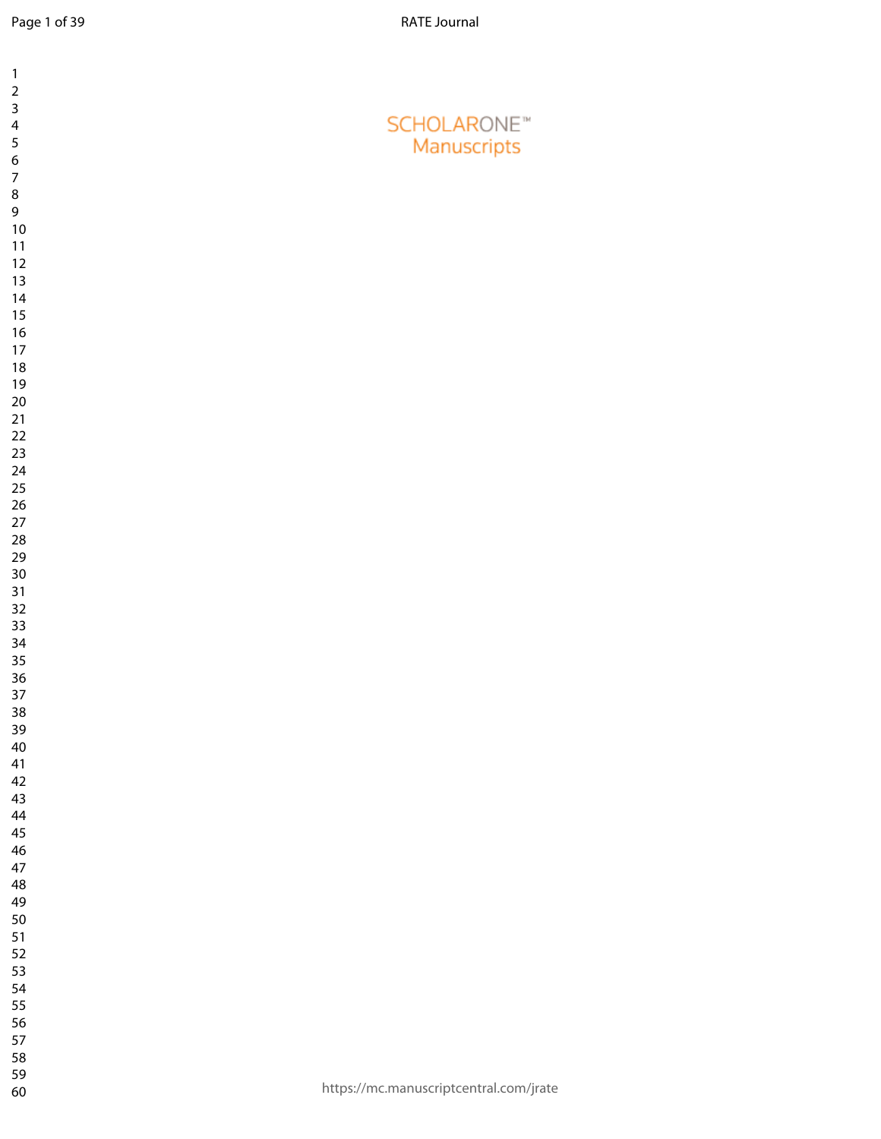| $\mathbf{1}$                                       |                                        |
|----------------------------------------------------|----------------------------------------|
| $\overline{\mathbf{c}}$<br>$\overline{\mathbf{3}}$ |                                        |
| $\overline{\mathbf{4}}$                            | <b>SCHOLARONE™</b>                     |
| 5<br>$\overline{6}$                                | Manuscripts                            |
| $\overline{7}$                                     |                                        |
| $\bf 8$<br>9                                       |                                        |
| $10\,$                                             |                                        |
| 11<br>12                                           |                                        |
| 13                                                 |                                        |
| 14<br>15                                           |                                        |
| $16\,$                                             |                                        |
| 17                                                 |                                        |
| $18\,$<br>19                                       |                                        |
| $20\,$                                             |                                        |
| 21<br>22                                           |                                        |
| 23                                                 |                                        |
| 24<br>25                                           |                                        |
| 26                                                 |                                        |
| $27\,$<br>28                                       |                                        |
| 29                                                 |                                        |
| $30\,$                                             |                                        |
| 31<br>32                                           |                                        |
| 33                                                 |                                        |
| 34<br>35                                           |                                        |
| 36                                                 |                                        |
| 37<br>38                                           |                                        |
| 39                                                 |                                        |
| $40\,$<br>41                                       |                                        |
| 42                                                 |                                        |
| 43                                                 |                                        |
| 44<br>45                                           |                                        |
| 46                                                 |                                        |
| 47<br>48                                           |                                        |
| 49                                                 |                                        |
| 50<br>51                                           |                                        |
| 52                                                 |                                        |
| 53<br>54                                           |                                        |
| 55                                                 |                                        |
| 56<br>57                                           |                                        |
| 58                                                 |                                        |
| 59                                                 | https://mc.manuscriptcentral.com/jrate |
| 60                                                 |                                        |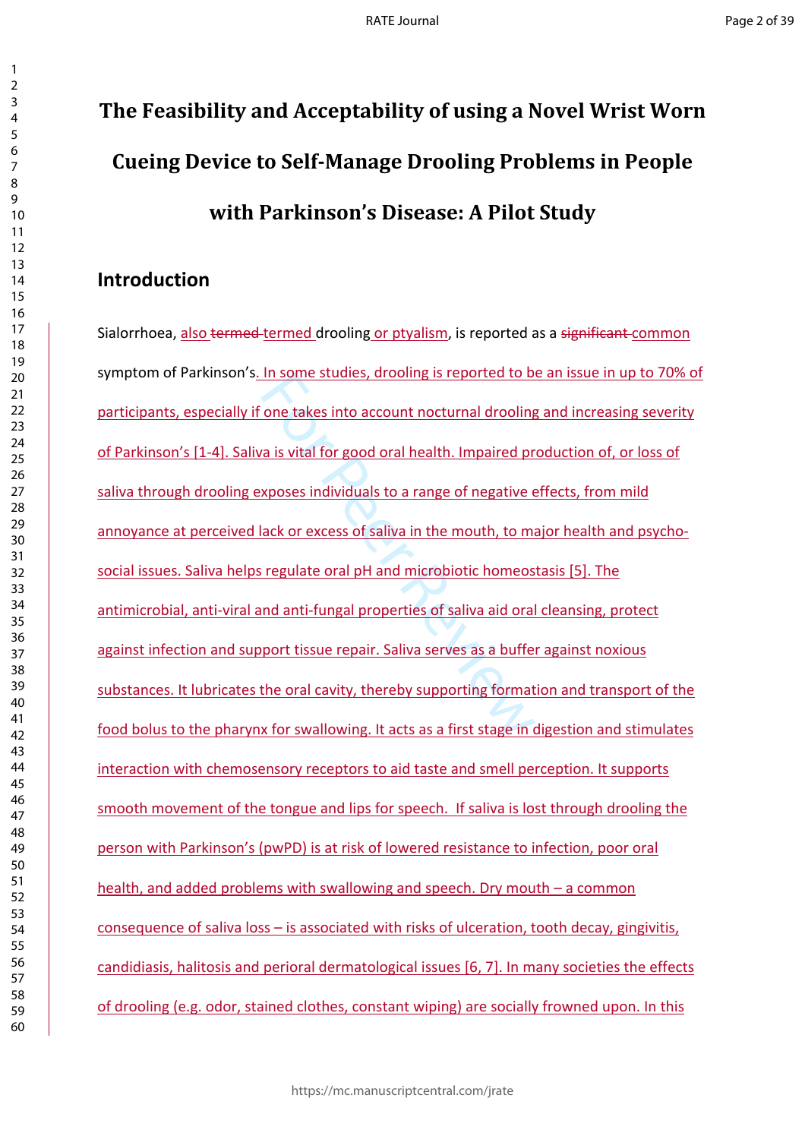# **The Feasibility and Acceptability of using a Novel Wrist Worn Cueing Device to Self-Manage Drooling Problems in People with Parkinson's Disease: A Pilot Study**

# **Introduction**

In some studies, aroomig is reported to be<br>one takes into account nocturnal drooling<br>a is vital for good oral health. Impaired pr<br>xposes individuals to a range of negative  $\epsilon$ <br>ack or excess of saliva in the mouth, to main Sialorrhoea, also termed termed drooling or ptyalism, is reported as a significant common symptom of Parkinson's. In some studies, drooling is reported to be an issue in up to 70% of participants, especially if one takes into account nocturnal drooling and increasing severity of Parkinson's [1-4]. Saliva is vital for good oral health. Impaired production of, or loss of saliva through drooling exposes individuals to a range of negative effects, from mild annoyance at perceived lack or excess of saliva in the mouth, to major health and psychosocial issues. Saliva helps regulate oral pH and microbiotic homeostasis [5]. The antimicrobial, anti-viral and anti-fungal properties of saliva aid oral cleansing, protect against infection and support tissue repair. Saliva serves as a buffer against noxious substances. It lubricates the oral cavity, thereby supporting formation and transport of the food bolus to the pharynx for swallowing. It acts as a first stage in digestion and stimulates interaction with chemosensory receptors to aid taste and smell perception. It supports smooth movement of the tongue and lips for speech. If saliva is lost through drooling the person with Parkinson's (pwPD) is at risk of lowered resistance to infection, poor oral health, and added problems with swallowing and speech. Dry mouth – a common consequence of saliva loss – is associated with risks of ulceration, tooth decay, gingivitis, candidiasis, halitosis and perioral dermatological issues [6, 7]. In many societies the effects of drooling (e.g. odor, stained clothes, constant wiping) are socially frowned upon. In this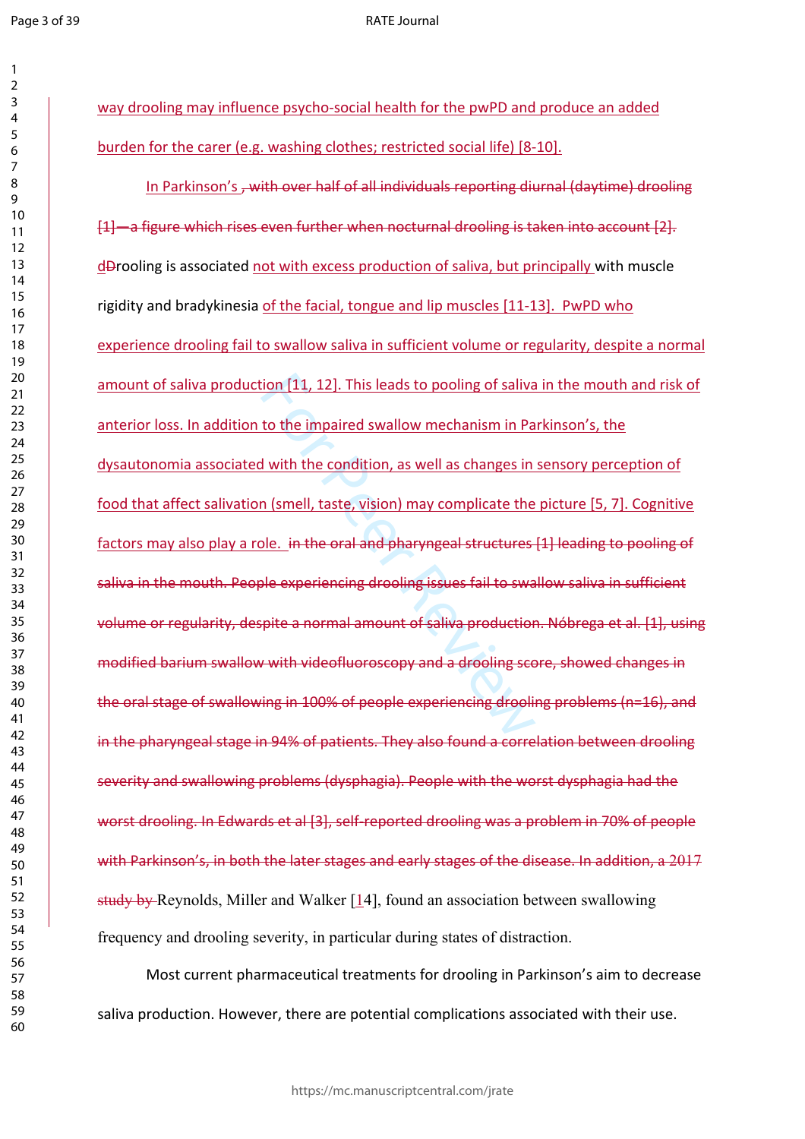#### RATE Journal

| 1                               |
|---------------------------------|
| 2                               |
| 3                               |
| 4                               |
| 5                               |
| 6                               |
|                                 |
| 8                               |
| d<br>)                          |
| 10                              |
| 1                               |
| $\mathbf{1}$                    |
| 1<br>っ                          |
| $\overline{1}$<br>3             |
| 1<br>4                          |
| 15                              |
| 16                              |
| 17                              |
| 18                              |
| 19                              |
| 20                              |
| $\overline{21}$                 |
| $\overline{2}$<br>$\mathcal{P}$ |
| ξ                               |
| $\overline{2}$                  |
| $\frac{24}{5}$                  |
| 25                              |
| $\frac{26}{5}$                  |
| $^{27}$                         |
| 28                              |
| 29                              |
| 30                              |
| $\overline{\textbf{3}}$         |
| $\overline{\mathbf{3}}$         |
| 2                               |
| $\overline{\mathbf{3}}$<br>ξ    |
| 34                              |
| 35                              |
| 36                              |
| 37                              |
| 88                              |
| 39                              |
| 40                              |
| 41                              |
|                                 |
| 42                              |
| 43                              |
| 44                              |
| 45                              |
| 46                              |
| 47                              |
| 48                              |
| 49                              |
| 50                              |
| 51                              |
| 52                              |
|                                 |
| 53                              |
| 54                              |
| 55                              |
| 56                              |
| 57                              |
| 58                              |
| 59                              |
| 60                              |

way drooling may influence psycho-social health for the pwPD and produce an added burden for the carer (e.g. washing clothes; restricted social life) [8-10].

ion [11, 12]. This leads to pooling of saliva<br>
to the impaired swallow mechanism in Pa<br>
d with the condition, as well as changes in<br>
n (smell, taste, vision) may complicate the<br>
ple. in the oral and pharyngeal structures<br> In Parkinson's <del>, with over half of all individuals reporting diurnal (daytime) drooling</del> [1]—a figure which rises even further when nocturnal drooling is taken into account [2]. dDrooling is associated not with excess production of saliva, but principally with muscle rigidity and bradykinesia of the facial, tongue and lip muscles [11-13]. PwPD who experience drooling fail to swallow saliva in sufficient volume or regularity, despite a normal amount of saliva production [11, 12]. This leads to pooling of saliva in the mouth and risk of anterior loss. In addition to the impaired swallow mechanism in Parkinson's, the dysautonomia associated with the condition, as well as changes in sensory perception of food that affect salivation (smell, taste, vision) may complicate the picture [5, 7]. Cognitive factors may also play a role. in the oral and pharyngeal structures [1] leading to pooling of saliva in the mouth. People experiencing drooling issues fail to swallow saliva in sufficient volume or regularity, despite a normal amount of saliva production. Nóbrega et al. [1], using modified barium swallow with videofluoroscopy and a drooling score, showed changes in the oral stage of swallowing in 100% of people experiencing drooling problems (n=16), and in the pharyngeal stage in 94% of patients. They also found a correlation between drooling severity and swallowing problems (dysphagia). People with the worst dysphagia had the worst drooling. In Edwards et al [3], self-reported drooling was a problem in 70% of people with Parkinson's, in both the later stages and early stages of the disease. In addition, a 2017 study by Reynolds, Miller and Walker [14], found an association between swallowing frequency and drooling severity, in particular during states of distraction.

Most current pharmaceutical treatments for drooling in Parkinson's aim to decrease saliva production. However, there are potential complications associated with their use.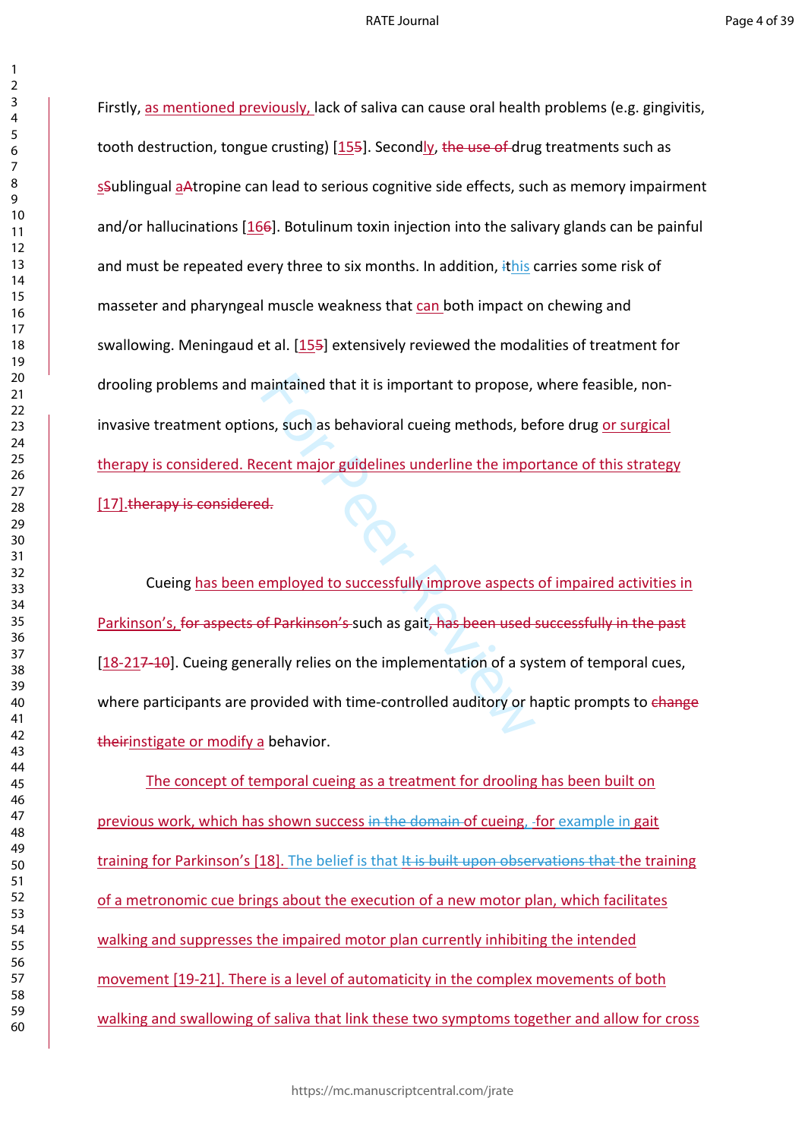Firstly, as mentioned previously, lack of saliva can cause oral health problems (e.g. gingivitis, tooth destruction, tongue crusting) [155]. Secondly, the use of drug treatments such as sSublingual aAtropine can lead to serious cognitive side effects, such as memory impairment and/or hallucinations [166]. Botulinum toxin injection into the salivary glands can be painful and must be repeated every three to six months. In addition, ithis carries some risk of masseter and pharyngeal muscle weakness that can both impact on chewing and swallowing. Meningaud et al. [155] extensively reviewed the modalities of treatment for drooling problems and maintained that it is important to propose, where feasible, noninvasive treatment options, such as behavioral cueing methods, before drug or surgical therapy is considered. Recent major guidelines underline the importance of this strategy [17].therapy is considered.

Number and that it is important to propose,<br>
In any such as behavioral cueing methods, be<br>
<u>ecent major guidelines underline the importoided</u><br>
Hereuployed to successfully improve aspects<br>
of Parkinson's such as gait, has b Cueing has been employed to successfully improve aspects of impaired activities in Parkinson's, for aspects of Parkinson's such as gait, has been used successfully in the past [18-217-10]. Cueing generally relies on the implementation of a system of temporal cues, where participants are provided with time-controlled auditory or haptic prompts to change theirinstigate or modify a behavior.

The concept of temporal cueing as a treatment for drooling has been built on previous work, which has shown success in the domain of cueing, for example in gait training for Parkinson's [18]. The belief is that It is built upon observations that the training of a metronomic cue brings about the execution of a new motor plan, which facilitates walking and suppresses the impaired motor plan currently inhibiting the intended movement [19-21]. There is a level of automaticity in the complex movements of both walking and swallowing of saliva that link these two symptoms together and allow for cross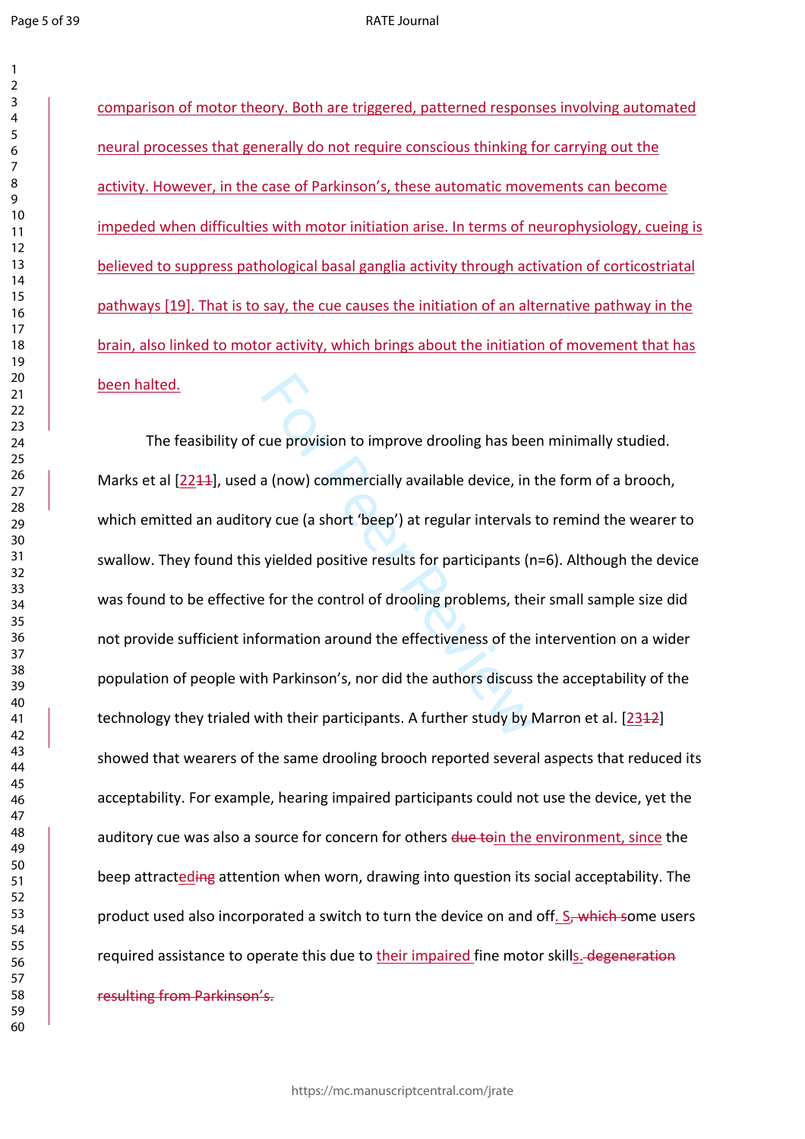$\mathbf{1}$ 

#### RATE Journal

comparison of motor theory. Both are triggered, patterned responses involving automated neural processes that generally do not require conscious thinking for carrying out the activity. However, in the case of Parkinson's, these automatic movements can become impeded when difficulties with motor initiation arise. In terms of neurophysiology, cueing is believed to suppress pathological basal ganglia activity through activation of corticostriatal pathways [19]. That is to say, the cue causes the initiation of an alternative pathway in the brain, also linked to motor activity, which brings about the initiation of movement that has been halted.

cue provision to improve drooling has bee<br>a (now) commercially available device, in t<br>ry cue (a short 'beep') at regular intervals<br>yielded positive results for participants (n<br>e for the control of drooling problems, the<br>or The feasibility of cue provision to improve drooling has been minimally studied. Marks et al [2244], used a (now) commercially available device, in the form of a brooch, which emitted an auditory cue (a short 'beep') at regular intervals to remind the wearer to swallow. They found this yielded positive results for participants (n=6). Although the device was found to be effective for the control of drooling problems, their small sample size did not provide sufficient information around the effectiveness of the intervention on a wider population of people with Parkinson's, nor did the authors discuss the acceptability of the technology they trialed with their participants. A further study by Marron et al. [2312] showed that wearers of the same drooling brooch reported several aspects that reduced its acceptability. For example, hearing impaired participants could not use the device, yet the auditory cue was also a source for concern for others due to in the environment, since the beep attracteding attention when worn, drawing into question its social acceptability. The product used also incorporated a switch to turn the device on and off. S, which some users required assistance to operate this due to their impaired fine motor skills. degeneration resulting from Parkinson's.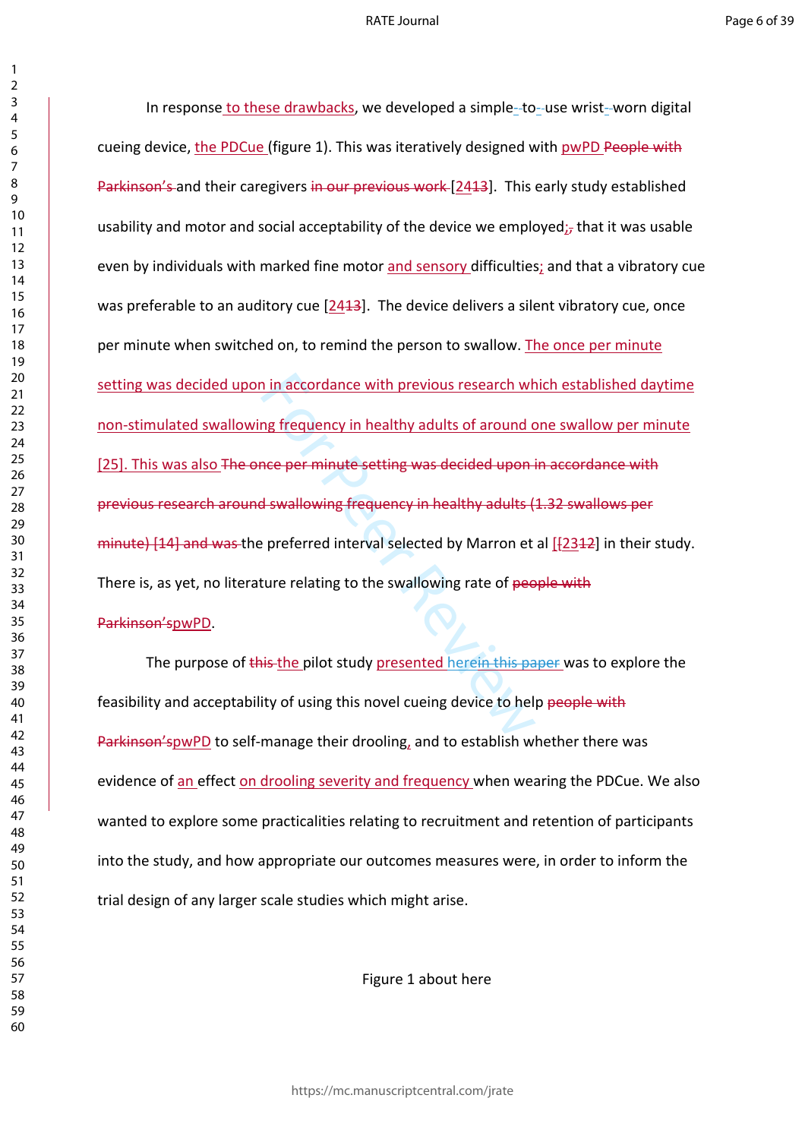#### RATE Journal

I in accordance with previous research wh<br>
In the accordance with previous research wh<br>
I swallowing frequency in healthy adults (<br>
I swallowing frequency in healthy adults (<br>
Perferred interval selected by Marron et<br>
I sw In response to these drawbacks, we developed a simple-to-use wrist-worn digital cueing device, the PDCue (figure 1). This was iteratively designed with pwPD People with Parkinson's and their caregivers in our previous work [2413]. This early study established usability and motor and social acceptability of the device we employed; $<sub>7</sub>$  that it was usable</sub> even by individuals with marked fine motor and sensory difficulties; and that a vibratory cue was preferable to an auditory cue [2413]. The device delivers a silent vibratory cue, once per minute when switched on, to remind the person to swallow. The once per minute setting was decided upon in accordance with previous research which established daytime non-stimulated swallowing frequency in healthy adults of around one swallow per minute [25]. This was also The once per minute setting was decided upon in accordance with previous research around swallowing frequency in healthy adults (1.32 swallows per minute)  $[14]$  and was the preferred interval selected by Marron et al  $[2312]$  in their study. There is, as yet, no literature relating to the swallowing rate of people with Parkinson'spwPD.

The purpose of this the pilot study presented herein this paper was to explore the feasibility and acceptability of using this novel cueing device to help people with Parkinson'spwPD to self-manage their drooling, and to establish whether there was evidence of an effect on drooling severity and frequency when wearing the PDCue. We also wanted to explore some practicalities relating to recruitment and retention of participants into the study, and how appropriate our outcomes measures were, in order to inform the trial design of any larger scale studies which might arise.

Figure 1 about here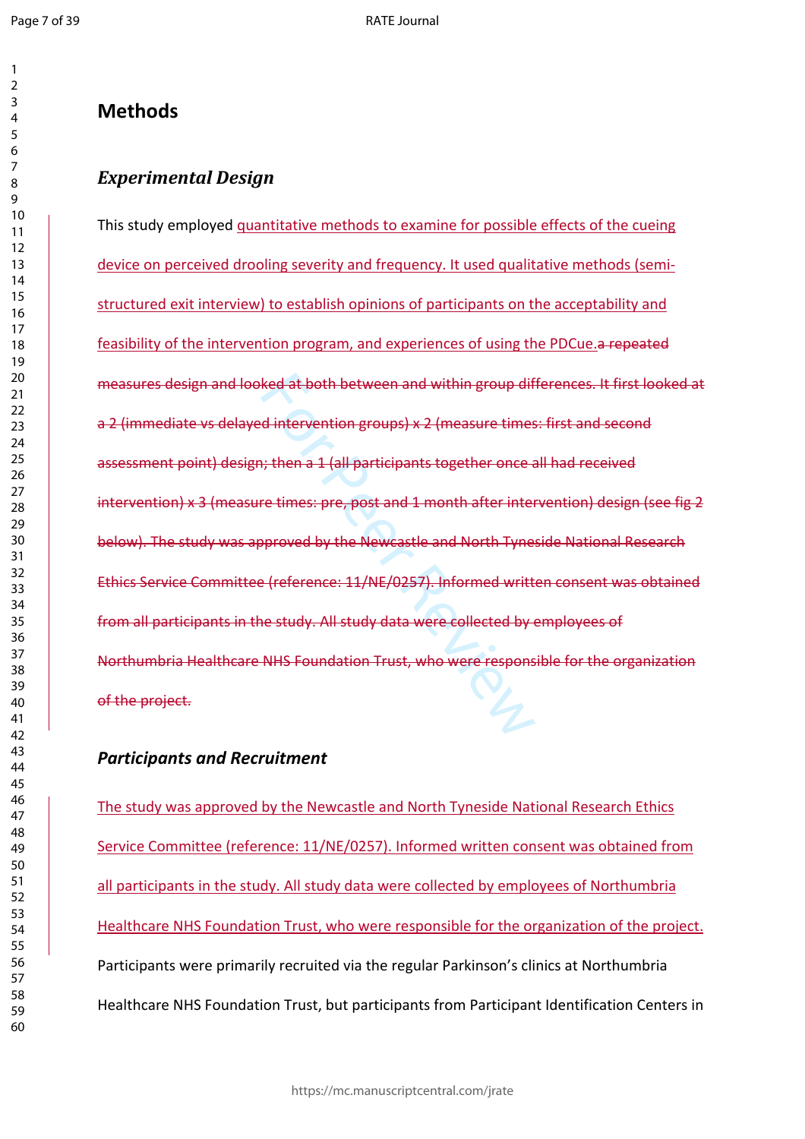$\mathbf{1}$  $\overline{2}$  $\overline{3}$ 

# **Methods**

# *Experimental Design*

ked at both between and within group dif<br>d intervention groups) x 2 (measure times<br>i; then a 1 (all participants together once a<br>re times: pre, post and 1 month after inter<br>pproved by the Newcastle and North Tynes<br>e (refer This study employed quantitative methods to examine for possible effects of the cueing device on perceived drooling severity and frequency. It used qualitative methods (semistructured exit interview) to establish opinions of participants on the acceptability and feasibility of the intervention program, and experiences of using the PDCue.a repeated measures design and looked at both between and within group differences. It first looked at a 2 (immediate vs delayed intervention groups) x 2 (measure times: first and second assessment point) design; then a 1 (all participants together once all had received intervention) x 3 (measure times: pre, post and 1 month after intervention) design (see fig 2 below). The study was approved by the Newcastle and North Tyneside National Research Ethics Service Committee (reference: 11/NE/0257). Informed written consent was obtained from all participants in the study. All study data were collected by employees of Northumbria Healthcare NHS Foundation Trust, who were responsible for the organization of the project.

# *Participants and Recruitment*

The study was approved by the Newcastle and North Tyneside National Research Ethics Service Committee (reference: 11/NE/0257). Informed written consent was obtained from all participants in the study. All study data were collected by employees of Northumbria Healthcare NHS Foundation Trust, who were responsible for the organization of the project. Participants were primarily recruited via the regular Parkinson's clinics at Northumbria Healthcare NHS Foundation Trust, but participants from Participant Identification Centers in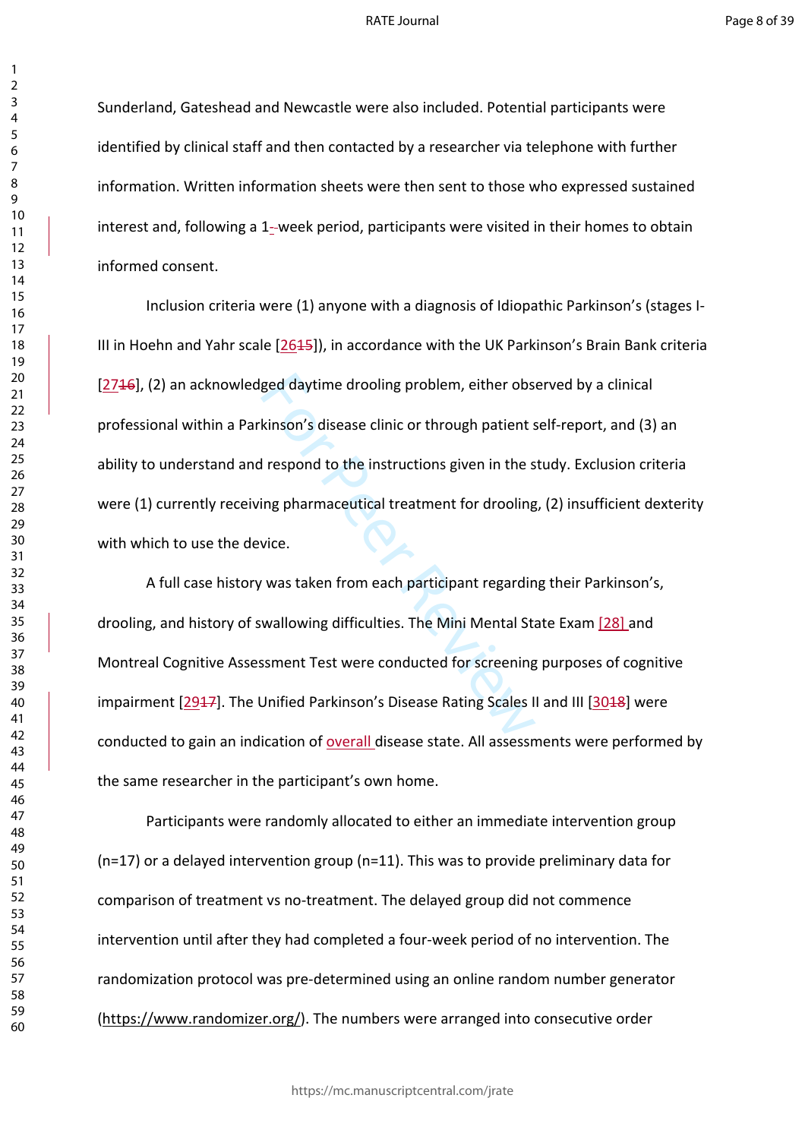#### RATE Journal

Sunderland, Gateshead and Newcastle were also included. Potential participants were identified by clinical staff and then contacted by a researcher via telephone with further information. Written information sheets were then sent to those who expressed sustained interest and, following a 1--week period, participants were visited in their homes to obtain informed consent.

ged daytime drooling problem, either obs<br>kinson's disease clinic or through patient s<br>l respond to the instructions given in the s<br>ing pharmaceutical treatment for drooling<br>vice.<br>was taken from each participant regardin<br>wa Inclusion criteria were (1) anyone with a diagnosis of Idiopathic Parkinson's (stages I-III in Hoehn and Yahr scale  $[2645]$ , in accordance with the UK Parkinson's Brain Bank criteria [2716], (2) an acknowledged daytime drooling problem, either observed by a clinical professional within a Parkinson's disease clinic or through patient self-report, and (3) an ability to understand and respond to the instructions given in the study. Exclusion criteria were (1) currently receiving pharmaceutical treatment for drooling, (2) insufficient dexterity with which to use the device.

A full case history was taken from each participant regarding their Parkinson's, drooling, and history of swallowing difficulties. The Mini Mental State Exam [28] and Montreal Cognitive Assessment Test were conducted for screening purposes of cognitive impairment [2917]. The Unified Parkinson's Disease Rating Scales II and III [3018] were conducted to gain an indication of overall disease state. All assessments were performed by the same researcher in the participant's own home.

Participants were randomly allocated to either an immediate intervention group (n=17) or a delayed intervention group (n=11). This was to provide preliminary data for comparison of treatment vs no-treatment. The delayed group did not commence intervention until after they had completed a four-week period of no intervention. The randomization protocol was pre-determined using an online random number generator (<https://www.randomizer.org/>). The numbers were arranged into consecutive order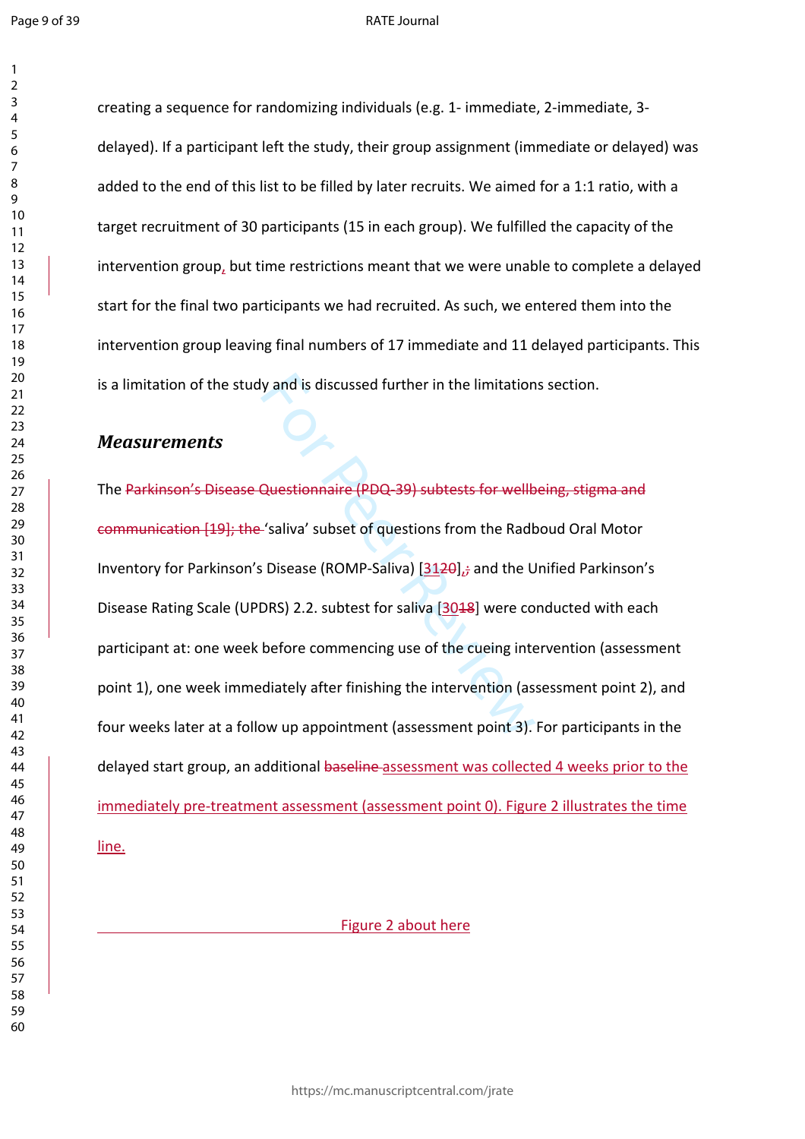$\mathbf{1}$  $\overline{2}$ 

#### RATE Journal

creating a sequence for randomizing individuals (e.g. 1- immediate, 2-immediate, 3 delayed). If a participant left the study, their group assignment (immediate or delayed) was added to the end of this list to be filled by later recruits. We aimed for a 1:1 ratio, with a target recruitment of 30 participants (15 in each group). We fulfilled the capacity of the intervention group, but time restrictions meant that we were unable to complete a delayed start for the final two participants we had recruited. As such, we entered them into the intervention group leaving final numbers of 17 immediate and 11 delayed participants. This is a limitation of the study and is discussed further in the limitations section.

### *Measurements*

y and is discussed further in the limitation<br>Questionnaire (PDQ-39) subtests for wellb<br>-'saliva' subset of questions from the Radk<br>Disease (ROMP-Saliva) [3120]<sub>13</sub> and the U<br>DRS) 2.2. subtest for saliva [3018] were co<br>befo The Parkinson's Disease Questionnaire (PDQ-39) subtests for wellbeing, stigma and communication [19]; the 'saliva' subset of questions from the Radboud Oral Motor Inventory for Parkinson's Disease (ROMP-Saliva) [3120]<sub>1</sub>; and the Unified Parkinson's Disease Rating Scale (UPDRS) 2.2. subtest for saliva [3018] were conducted with each participant at: one week before commencing use of the cueing intervention (assessment point 1), one week immediately after finishing the intervention (assessment point 2), and four weeks later at a follow up appointment (assessment point 3). For participants in the delayed start group, an additional baseline assessment was collected 4 weeks prior to the immediately pre-treatment assessment (assessment point 0). Figure 2 illustrates the time line.

#### Figure 2 about here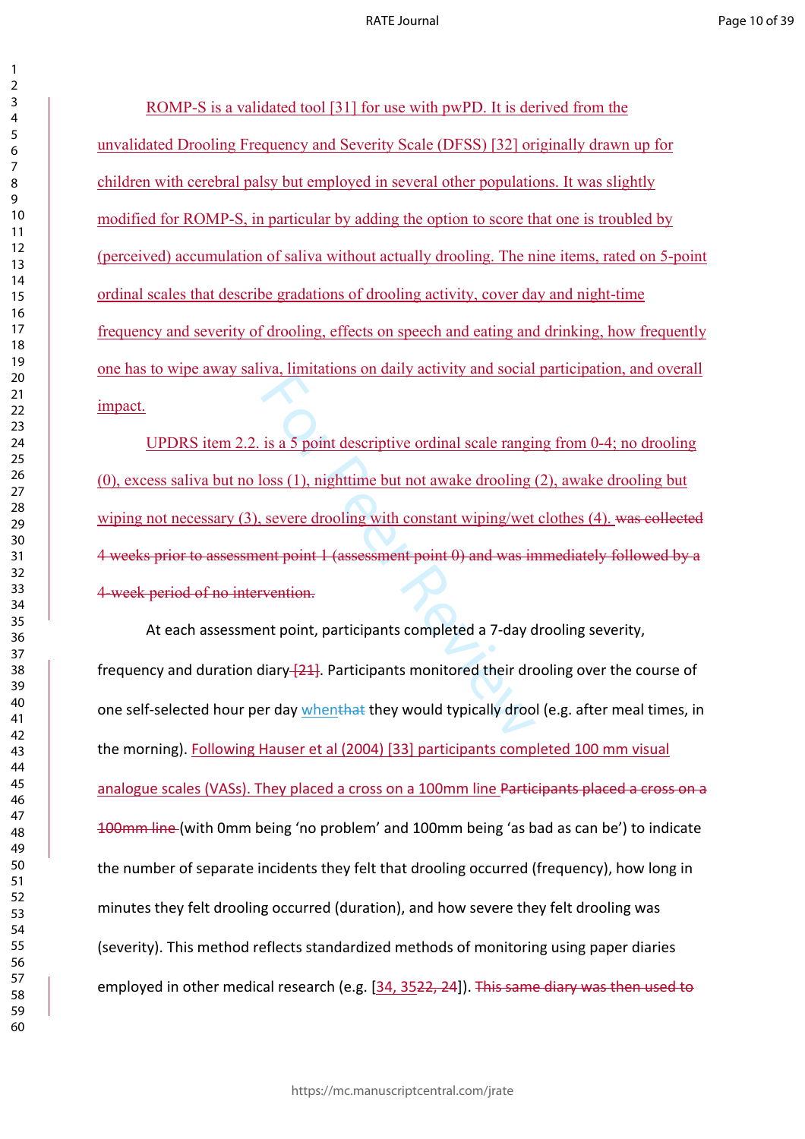ROMP-S is a validated tool [31] for use with pwPD. It is derived from the unvalidated Drooling Frequency and Severity Scale (DFSS) [32] originally drawn up for children with cerebral palsy but employed in several other populations. It was slightly modified for ROMP-S, in particular by adding the option to score that one is troubled by (perceived) accumulation of saliva without actually drooling. The nine items, rated on 5-point ordinal scales that describe gradations of drooling activity, cover day and night-time frequency and severity of drooling, effects on speech and eating and drinking, how frequently one has to wipe away saliva, limitations on daily activity and social participation, and overall impact.

For all the second is a 5 point descriptive ordinal scale rangions (1), nighttime but not awake drooling is<br>severe drooling with constant wiping/wet<br>ent point 1 (assessment point 0) and was in<br>vention.<br>nt point, participan UPDRS item 2.2. is a 5 point descriptive ordinal scale ranging from 0-4; no drooling (0), excess saliva but no loss (1), nighttime but not awake drooling (2), awake drooling but wiping not necessary (3), severe drooling with constant wiping/wet clothes (4). was collected 4 weeks prior to assessment point 1 (assessment point 0) and was immediately followed by a 4-week period of no intervention.

At each assessment point, participants completed a 7-day drooling severity, frequency and duration diary  $[21]$ . Participants monitored their drooling over the course of one self-selected hour per day whenthat they would typically drool (e.g. after meal times, in the morning). Following Hauser et al (2004) [33] participants completed 100 mm visual analogue scales (VASs). They placed a cross on a 100mm line Participants placed a cross on a 100mm line (with 0mm being 'no problem' and 100mm being 'as bad as can be') to indicate the number of separate incidents they felt that drooling occurred (frequency), how long in minutes they felt drooling occurred (duration), and how severe they felt drooling was (severity). This method reflects standardized methods of monitoring using paper diaries employed in other medical research (e.g. [34, 3522, 24]). This same diary was then used to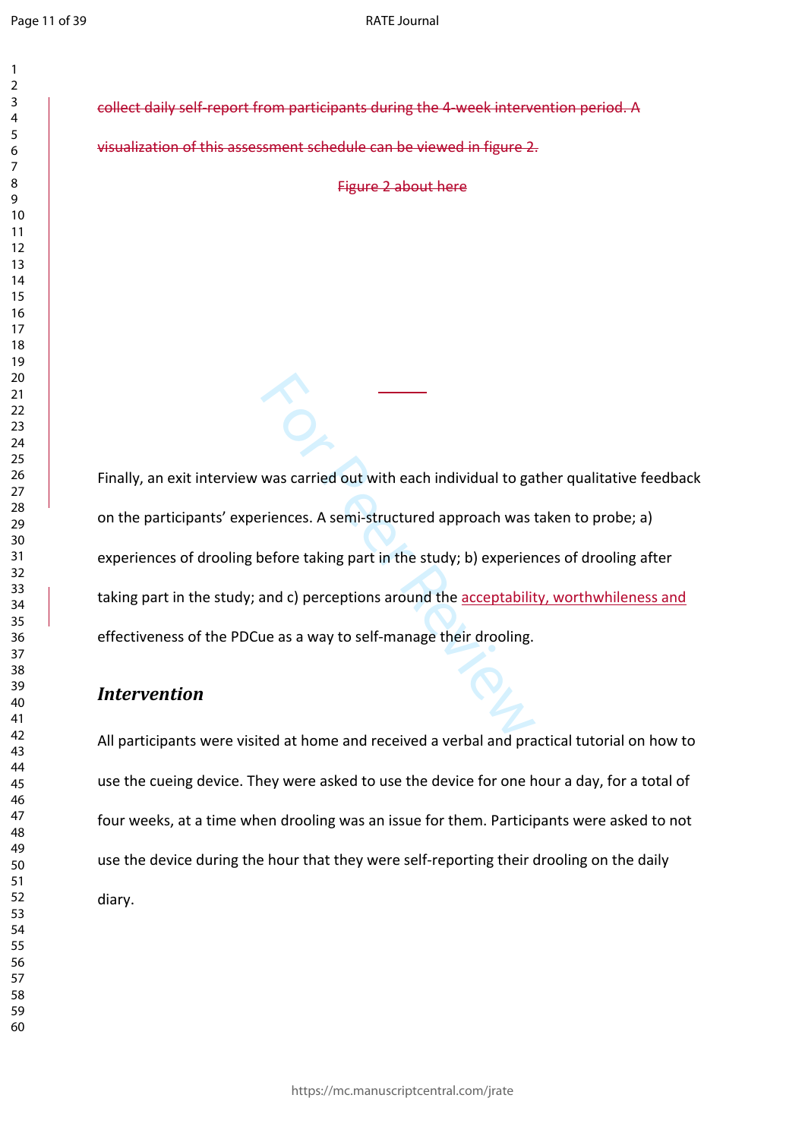$\mathbf{1}$  $\overline{2}$  $\overline{4}$  $\overline{7}$ 

collect daily self-report from participants during the 4-week intervention period. A

visualization of this assessment schedule can be viewed in figure 2.

Figure 2 about here

was carried out with each individual to ga<br>
riences. A semi-structured approach was t<br>
before taking part in the study; b) experier<br>
and c) perceptions around the <u>acceptability</u><br>
ue as a way to self-manage their drooling. Finally, an exit interview was carried out with each individual to gather qualitative feedback on the participants' experiences. A semi-structured approach was taken to probe; a) experiences of drooling before taking part in the study; b) experiences of drooling after taking part in the study; and c) perceptions around the acceptability, worthwhileness and effectiveness of the PDCue as a way to self-manage their drooling.

# *Intervention*

All participants were visited at home and received a verbal and practical tutorial on how to use the cueing device. They were asked to use the device for one hour a day, for a total of four weeks, at a time when drooling was an issue for them. Participants were asked to not use the device during the hour that they were self-reporting their drooling on the daily diary.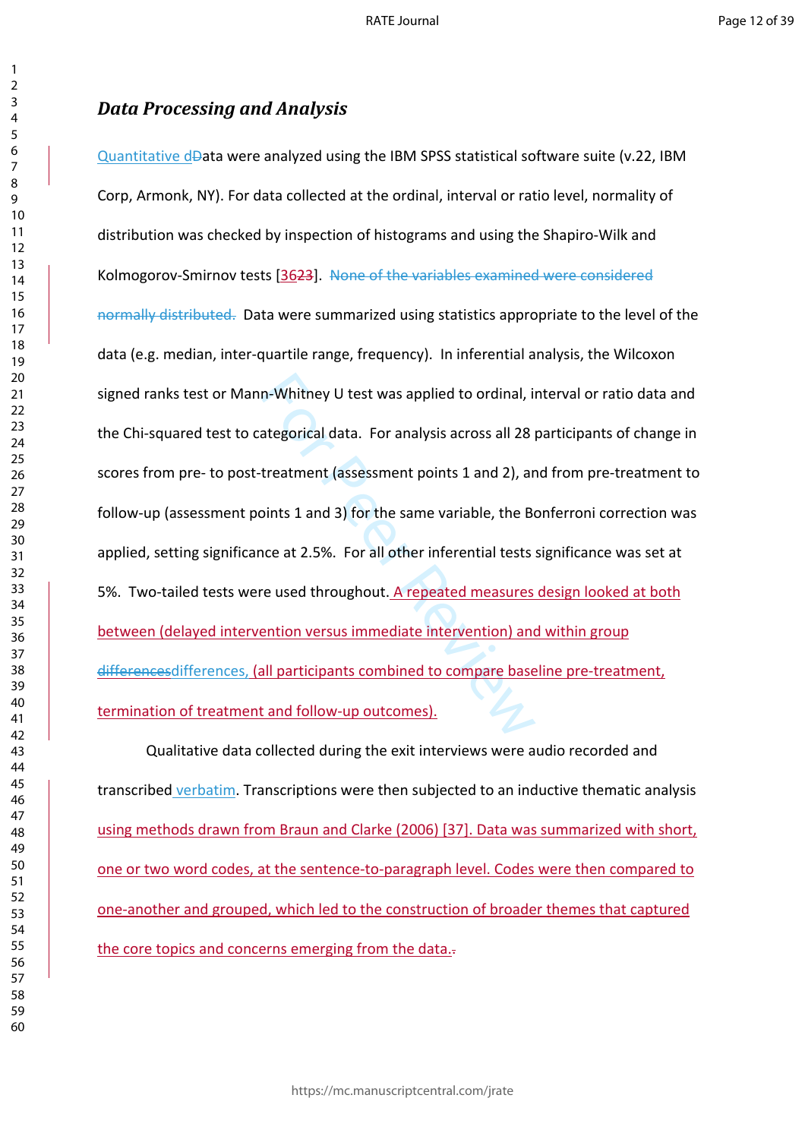# *Data Processing and Analysis*

n-Whitney U test was applied to ordinal, in<br>ategorical data. For analysis across all 28 |<br>treatment (assessment points 1 and 2), ar<br>bints 1 and 3) for the same variable, the Bo<br>nce at 2.5%. For all other inferential tests<br> Quantitative dData were analyzed using the IBM SPSS statistical software suite (v.22, IBM Corp, Armonk, NY). For data collected at the ordinal, interval or ratio level, normality of distribution was checked by inspection of histograms and using the Shapiro-Wilk and Kolmogorov-Smirnov tests [3623]. None of the variables examined were considered normally distributed. Data were summarized using statistics appropriate to the level of the data (e.g. median, inter-quartile range, frequency). In inferential analysis, the Wilcoxon signed ranks test or Mann-Whitney U test was applied to ordinal, interval or ratio data and the Chi-squared test to categorical data. For analysis across all 28 participants of change in scores from pre- to post-treatment (assessment points 1 and 2), and from pre-treatment to follow-up (assessment points 1 and 3) for the same variable, the Bonferroni correction was applied, setting significance at 2.5%. For all other inferential tests significance was set at 5%. Two-tailed tests were used throughout. A repeated measures design looked at both between (delayed intervention versus immediate intervention) and within group differencesdifferences, (all participants combined to compare baseline pre-treatment, termination of treatment and follow-up outcomes).

Qualitative data collected during the exit interviews were audio recorded and transcribed verbatim. Transcriptions were then subjected to an inductive thematic analysis using methods drawn from Braun and Clarke (2006) [37]. Data was summarized with short, one or two word codes, at the sentence-to-paragraph level. Codes were then compared to one-another and grouped, which led to the construction of broader themes that captured the core topics and concerns emerging from the data...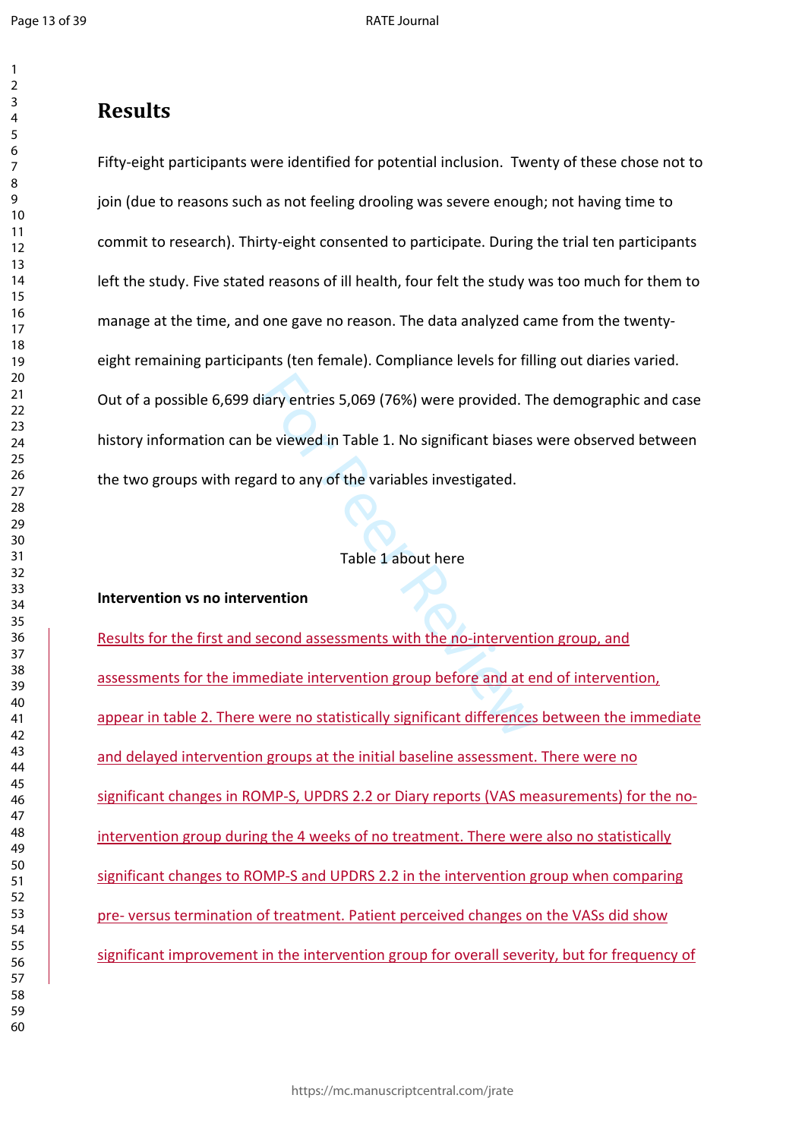$\mathbf{1}$  $\overline{2}$ 

# **Results**

For Periodes 3,069 (76%) were provided. The<br>The viewed in Table 1. No significant biases<br>Internal to any of the variables investigated.<br>Table 1 about here<br>Table 1 about here<br>Table 1 about here<br>Table 1 about here<br>Table 1 ab Fifty-eight participants were identified for potential inclusion. Twenty of these chose not to join (due to reasons such as not feeling drooling was severe enough; not having time to commit to research). Thirty-eight consented to participate. During the trial ten participants left the study. Five stated reasons of ill health, four felt the study was too much for them to manage at the time, and one gave no reason. The data analyzed came from the twentyeight remaining participants (ten female). Compliance levels for filling out diaries varied. Out of a possible 6,699 diary entries 5,069 (76%) were provided. The demographic and case history information can be viewed in Table 1. No significant biases were observed between the two groups with regard to any of the variables investigated.

### Table 1 about here

### **Intervention vs no intervention**

Results for the first and second assessments with the no-intervention group, and assessments for the immediate intervention group before and at end of intervention, appear in table 2. There were no statistically significant differences between the immediate and delayed intervention groups at the initial baseline assessment. There were no significant changes in ROMP-S, UPDRS 2.2 or Diary reports (VAS measurements) for the nointervention group during the 4 weeks of no treatment. There were also no statistically significant changes to ROMP-S and UPDRS 2.2 in the intervention group when comparing pre- versus termination of treatment. Patient perceived changes on the VASs did show significant improvement in the intervention group for overall severity, but for frequency of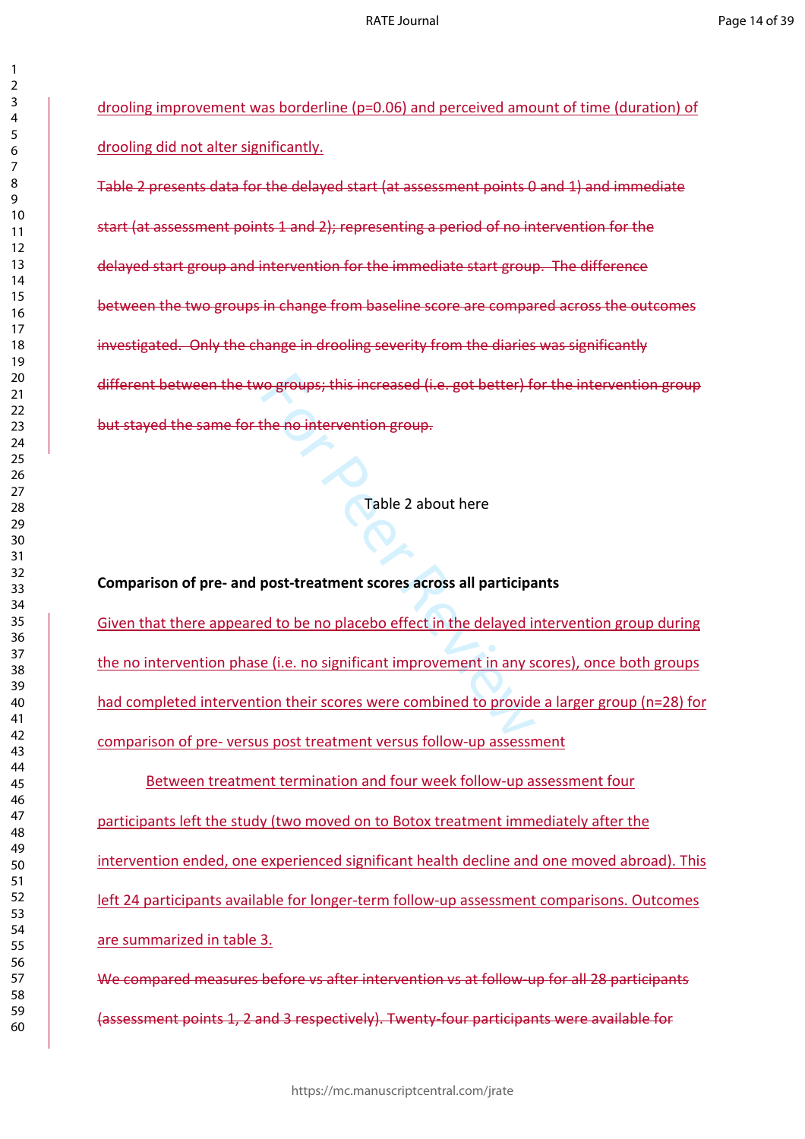drooling improvement was borderline (p=0.06) and perceived amount of time (duration) of drooling did not alter significantly.

Table 2 presents data for the delayed start (at assessment points 0 and 1) and immediate start (at assessment points 1 and 2); representing a period of no intervention for the delayed start group and intervention for the immediate start group. The difference between the two groups in change from baseline score are compared across the outcomes investigated. Only the change in drooling severity from the diaries was significantly different between the two groups; this increased (i.e. got better) for the intervention group but stayed the same for the no intervention group.

Table 2 about here

For Persons; this increased (i.e. got better) for<br>the no intervention group.<br>Table 2 about here<br>post-treatment scores across all participant<br>of the no placebo effect in the delayed in<br>e (i.e. no significant improvement in **Comparison of pre- and post-treatment scores across all participants**  Given that there appeared to be no placebo effect in the delayed intervention group during the no intervention phase (i.e. no significant improvement in any scores), once both groups had completed intervention their scores were combined to provide a larger group (n=28) for comparison of pre- versus post treatment versus follow-up assessment

Between treatment termination and four week follow-up assessment four participants left the study (two moved on to Botox treatment immediately after the intervention ended, one experienced significant health decline and one moved abroad). This left 24 participants available for longer-term follow-up assessment comparisons. Outcomes are summarized in table 3.

We compared measures before vs after intervention vs at follow-up for all 28 participants (assessment points 1, 2 and 3 respectively). Twenty-four participants were available for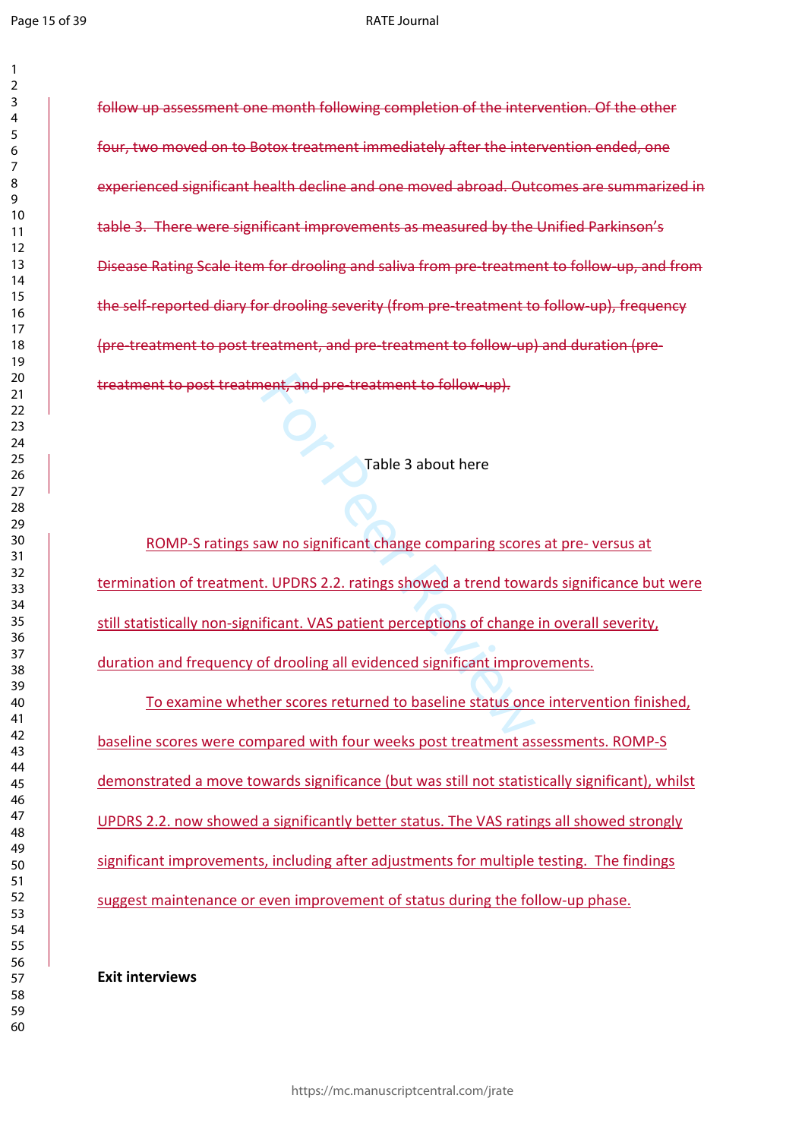$\mathbf{1}$  $\overline{2}$ 

#### RATE Journal

follow up assessment one month following completion of the intervention. Of the other four, two moved on to Botox treatment immediately after the intervention ended, one experienced significant health decline and one moved abroad. Outcomes are summarized in table 3. There were significant improvements as measured by the Unified Parkinson's Disease Rating Scale item for drooling and saliva from pre-treatment to follow-up, and from the self-reported diary for drooling severity (from pre-treatment to follow-up), frequency (pre-treatment to post treatment, and pre-treatment to follow-up) and duration (pretreatment to post treatment, and pre-treatment to follow-up).

Table 3 about here

Fable 3 about here<br>
Table 3 about here<br>
Table 3 about here<br>
Table 3 about here<br>
Table 3 about here<br>
Table 3 about here<br>
Table 3 about here<br>
In Table 3 about here<br>
It. UPDRS 2.2. ratings showed a trend towardical<br>
The Signa ROMP-S ratings saw no significant change comparing scores at pre- versus at termination of treatment. UPDRS 2.2. ratings showed a trend towards significance but were still statistically non-significant. VAS patient perceptions of change in overall severity, duration and frequency of drooling all evidenced significant improvements.

To examine whether scores returned to baseline status once intervention finished, baseline scores were compared with four weeks post treatment assessments. ROMP-S demonstrated a move towards significance (but was still not statistically significant), whilst UPDRS 2.2. now showed a significantly better status. The VAS ratings all showed strongly significant improvements, including after adjustments for multiple testing. The findings suggest maintenance or even improvement of status during the follow-up phase.

**Exit interviews**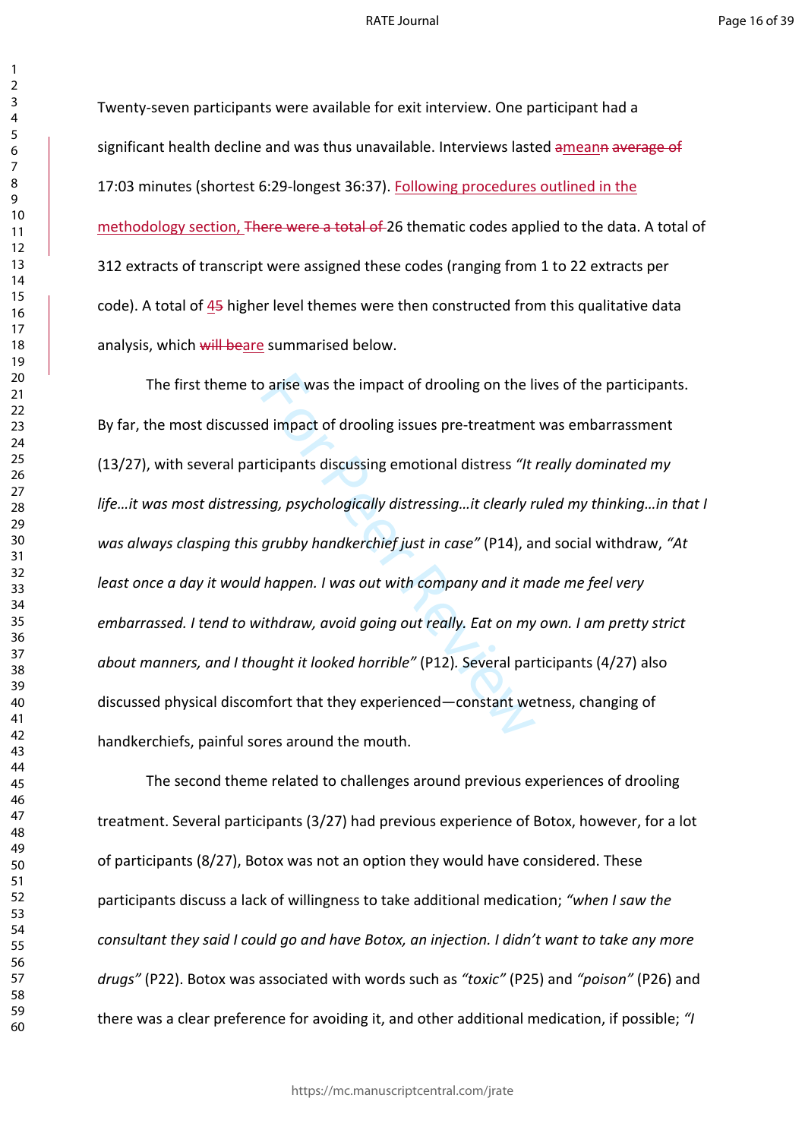Twenty-seven participants were available for exit interview. One participant had a significant health decline and was thus unavailable. Interviews lasted ameann average of 17:03 minutes (shortest 6:29-longest 36:37). Following procedures outlined in the methodology section, There were a total of 26 thematic codes applied to the data. A total of 312 extracts of transcript were assigned these codes (ranging from 1 to 22 extracts per code). A total of 45 higher level themes were then constructed from this qualitative data analysis, which will beare summarised below.

o arise was the impact of drooling on the line of dimpact of drooling issues pre-treatment<br>dimpact of drooling issues pre-treatment<br>ticipants discussing emotional distress "It .<br>ing, psychologically distressing...it clearl The first theme to arise was the impact of drooling on the lives of the participants. By far, the most discussed impact of drooling issues pre-treatment was embarrassment (13/27), with several participants discussing emotional distress *"It really dominated my life…it was most distressing, psychologically distressing…it clearly ruled my thinking…in that I was always clasping this grubby handkerchief just in case"* (P14), and social withdraw, *"At least once a day it would happen. I was out with company and it made me feel very embarrassed. I tend to withdraw, avoid going out really. Eat on my own. I am pretty strict about manners, and I thought it looked horrible"* (P12)*.* Several participants (4/27) also discussed physical discomfort that they experienced—constant wetness, changing of handkerchiefs, painful sores around the mouth.

The second theme related to challenges around previous experiences of drooling treatment. Several participants (3/27) had previous experience of Botox, however, for a lot of participants (8/27), Botox was not an option they would have considered. These participants discuss a lack of willingness to take additional medication; *"when I saw the consultant they said I could go and have Botox, an injection. I didn't want to take any more drugs"* (P22). Botox was associated with words such as *"toxic"* (P25) and *"poison"* (P26) and there was a clear preference for avoiding it, and other additional medication, if possible; *"I*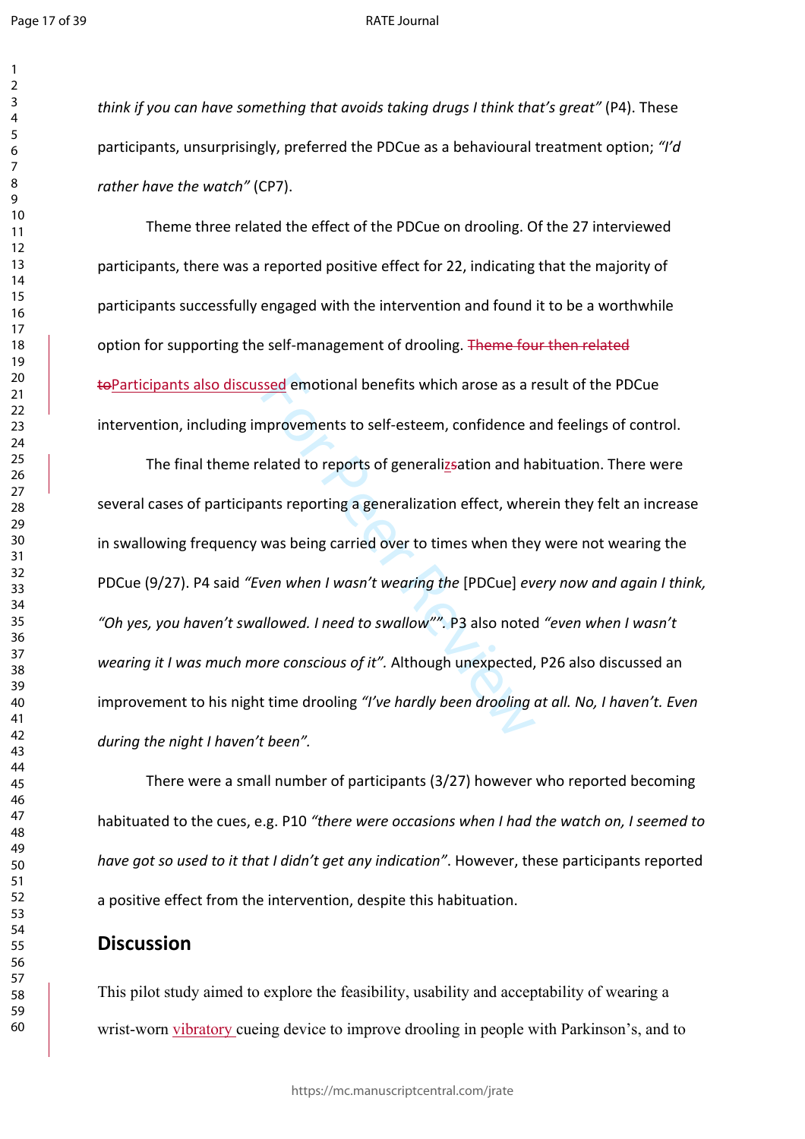$\mathbf{1}$  $\overline{2}$ 

#### RATE Journal

*think if you can have something that avoids taking drugs I think that's great"* (P4). These participants, unsurprisingly, preferred the PDCue as a behavioural treatment option; *"I'd rather have the watch"* (CP7).

Theme three related the effect of the PDCue on drooling. Of the 27 interviewed participants, there was a reported positive effect for 22, indicating that the majority of participants successfully engaged with the intervention and found it to be a worthwhile option for supporting the self-management of drooling. Theme four then related toParticipants also discussed emotional benefits which arose as a result of the PDCue intervention, including improvements to self-esteem, confidence and feelings of control.

ssed emotional benefits which arose as a r<br>nprovements to self-esteem, confidence a<br>elated to reports of generalization and ha<br>nts reporting a generalization effect, whe<br>was being carried over to times when they<br>ven when I The final theme related to reports of generalizsation and habituation. There were several cases of participants reporting a generalization effect, wherein they felt an increase in swallowing frequency was being carried over to times when they were not wearing the PDCue (9/27). P4 said *"Even when I wasn't wearing the* [PDCue] *every now and again I think, "Oh yes, you haven't swallowed. I need to swallow"".* P3 also noted *"even when I wasn't wearing it I was much more conscious of it".* Although unexpected, P26 also discussed an improvement to his night time drooling *"I've hardly been drooling at all. No, I haven't. Even during the night I haven't been".*

There were a small number of participants (3/27) however who reported becoming habituated to the cues, e.g. P10 *"there were occasions when I had the watch on, I seemed to have got so used to it that I didn't get any indication"*. However, these participants reported a positive effect from the intervention, despite this habituation.

# **Discussion**

This pilot study aimed to explore the feasibility, usability and acceptability of wearing a wrist-worn vibratory cueing device to improve drooling in people with Parkinson's, and to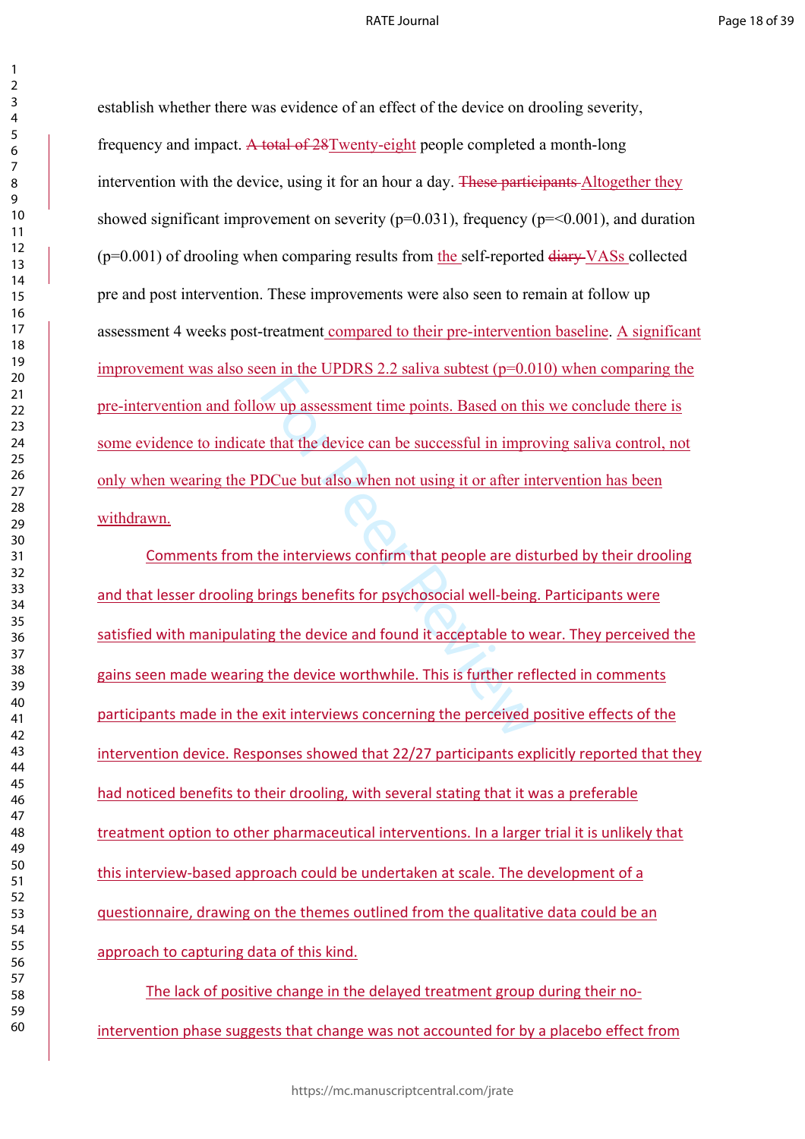#### RATE Journal

establish whether there was evidence of an effect of the device on drooling severity, frequency and impact. A total of 28Twenty-eight people completed a month-long intervention with the device, using it for an hour a day. These participants Altogether they showed significant improvement on severity ( $p=0.031$ ), frequency ( $p=<0.001$ ), and duration  $(p=0.001)$  of drooling when comparing results from the self-reported diary VASs collected pre and post intervention. These improvements were also seen to remain at follow up assessment 4 weeks post-treatment compared to their pre-intervention baseline. A significant improvement was also seen in the UPDRS 2.2 saliva subtest  $(p=0.010)$  when comparing the pre-intervention and follow up assessment time points. Based on this we conclude there is some evidence to indicate that the device can be successful in improving saliva control, not only when wearing the PDCue but also when not using it or after intervention has been withdrawn.

of the device 2.2 sales states (p = 0.6<br>by up assessment time points. Based on this<br>extent that the device can be successful in impro<br>DCue but also when not using it or after in<br>the interviews confirm that people are dist<br> Comments from the interviews confirm that people are disturbed by their drooling and that lesser drooling brings benefits for psychosocial well-being. Participants were satisfied with manipulating the device and found it acceptable to wear. They perceived the gains seen made wearing the device worthwhile. This is further reflected in comments participants made in the exit interviews concerning the perceived positive effects of the intervention device. Responses showed that 22/27 participants explicitly reported that they had noticed benefits to their drooling, with several stating that it was a preferable treatment option to other pharmaceutical interventions. In a larger trial it is unlikely that this interview-based approach could be undertaken at scale. The development of a questionnaire, drawing on the themes outlined from the qualitative data could be an approach to capturing data of this kind.

The lack of positive change in the delayed treatment group during their nointervention phase suggests that change was not accounted for by a placebo effect from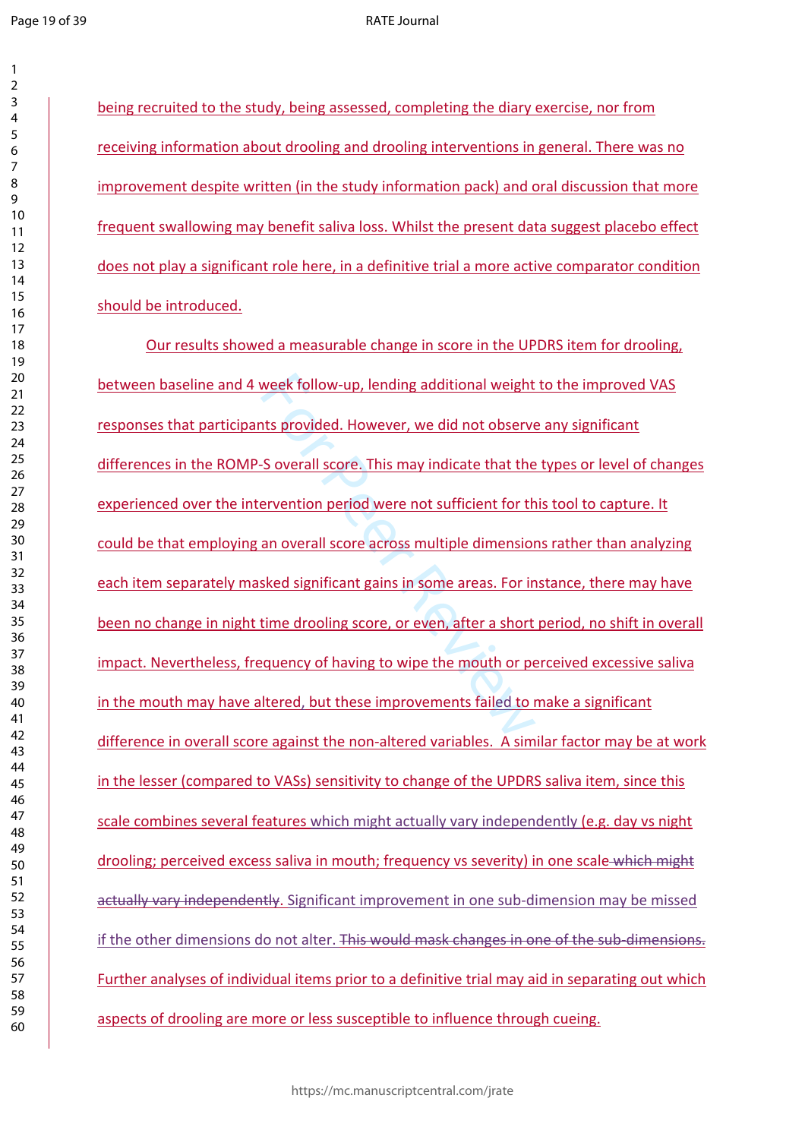$\mathbf{1}$ 

#### RATE Journal

being recruited to the study, being assessed, completing the diary exercise, nor from receiving information about drooling and drooling interventions in general. There was no improvement despite written (in the study information pack) and oral discussion that more frequent swallowing may benefit saliva loss. Whilst the present data suggest placebo effect does not play a significant role here, in a definitive trial a more active comparator condition should be introduced.

week follow-up, lending additional weight<br>ts provided. However, we did not observe<br>S overall score. This may indicate that the<br>ervention period were not sufficient for th<br>an overall score across multiple dimension<br>sked sig Our results showed a measurable change in score in the UPDRS item for drooling, between baseline and 4 week follow-up, lending additional weight to the improved VAS responses that participants provided. However, we did not observe any significant differences in the ROMP-S overall score. This may indicate that the types or level of changes experienced over the intervention period were not sufficient for this tool to capture. It could be that employing an overall score across multiple dimensions rather than analyzing each item separately masked significant gains in some areas. For instance, there may have been no change in night time drooling score, or even, after a short period, no shift in overall impact. Nevertheless, frequency of having to wipe the mouth or perceived excessive saliva in the mouth may have altered, but these improvements failed to make a significant difference in overall score against the non-altered variables. A similar factor may be at work in the lesser (compared to VASs) sensitivity to change of the UPDRS saliva item, since this scale combines several features which might actually vary independently (e.g. day vs night drooling; perceived excess saliva in mouth; frequency vs severity) in one scale which might actually vary independently. Significant improvement in one sub-dimension may be missed if the other dimensions do not alter. This would mask changes in one of the sub-dimensions. Further analyses of individual items prior to a definitive trial may aid in separating out which aspects of drooling are more or less susceptible to influence through cueing.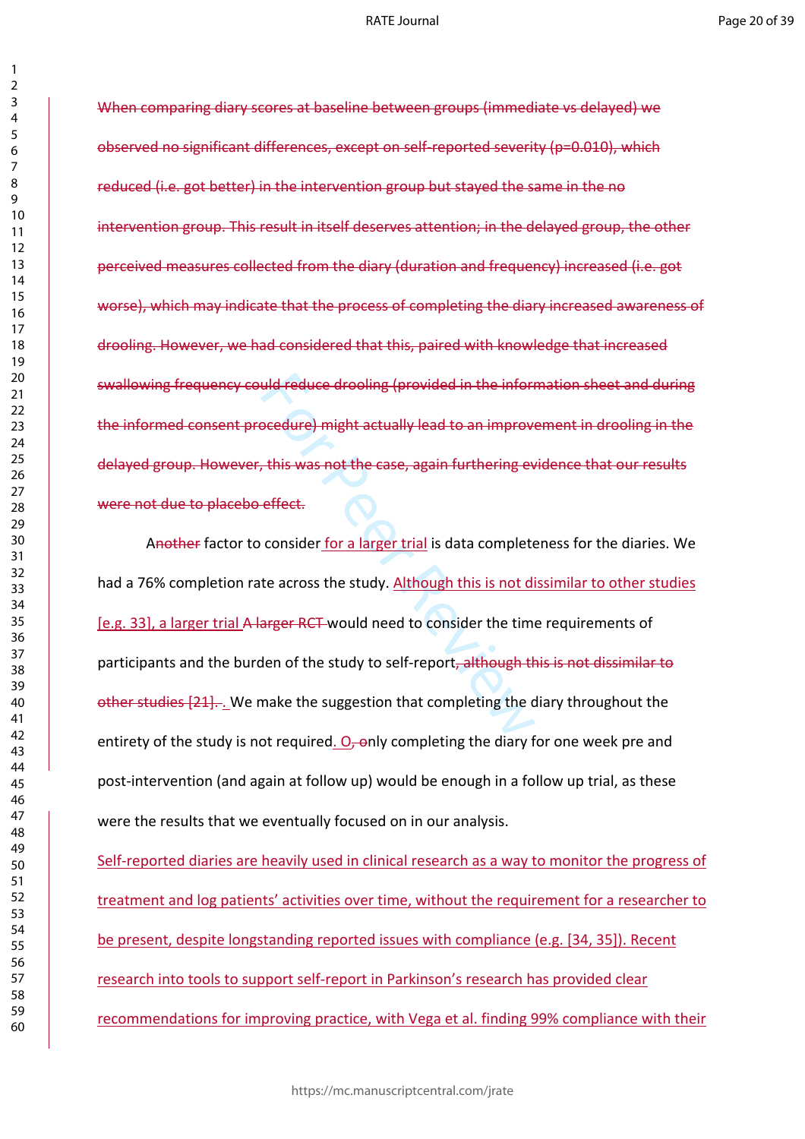When comparing diary scores at baseline between groups (immediate vs delayed) we observed no significant differences, except on self-reported severity (p=0.010), which reduced (i.e. got better) in the intervention group but stayed the same in the no intervention group. This result in itself deserves attention; in the delayed group, the other perceived measures collected from the diary (duration and frequency) increased (i.e. got worse), which may indicate that the process of completing the diary increased awareness of drooling. However, we had considered that this, paired with knowledge that increased swallowing frequency could reduce drooling (provided in the information sheet and during the informed consent procedure) might actually lead to an improvement in drooling in the delayed group. However, this was not the case, again furthering evidence that our results were not due to placebo effect.

uld reduce drooling (provided in the inform<br>
beedure) might actually lead to an improve<br>
this was not the case, again furthering ev<br>
effect:<br>
consider for a larger trial is data complete<br>
te across the study. <u>Although thi</u> Another factor to consider for a larger trial is data completeness for the diaries. We had a 76% completion rate across the study. Although this is not dissimilar to other studies [e.g. 33], a larger trial A larger RCT would need to consider the time requirements of participants and the burden of the study to self-report, although this is not dissimilar to other studies [21]. . We make the suggestion that completing the diary throughout the entirety of the study is not required.  $O<sub>r</sub>$  only completing the diary for one week pre and post-intervention (and again at follow up) would be enough in a follow up trial, as these were the results that we eventually focused on in our analysis.

Self-reported diaries are heavily used in clinical research as a way to monitor the progress of treatment and log patients' activities over time, without the requirement for a researcher to be present, despite longstanding reported issues with compliance (e.g. [34, 35]). Recent research into tools to support self-report in Parkinson's research has provided clear recommendations for improving practice, with Vega et al. finding 99% compliance with their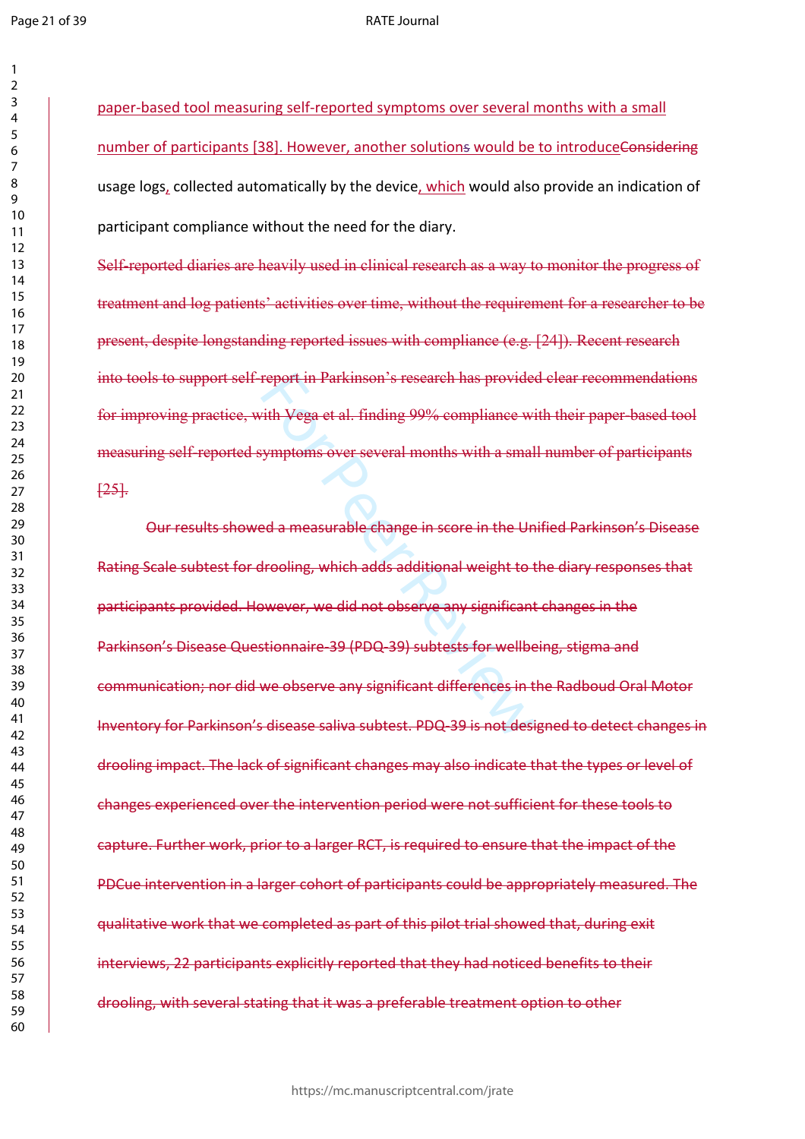$\mathbf{1}$ 

#### RATE Journal

paper-based tool measuring self-reported symptoms over several months with a small number of participants [38]. However, another solutions would be to introduceConsidering usage logs, collected automatically by the device, which would also provide an indication of participant compliance without the need for the diary.

Self-reported diaries are heavily used in clinical research as a way to monitor the progress of treatment and log patients' activities over time, without the requirement for a researcher to be present, despite longstanding reported issues with compliance (e.g. [24]). Recent research into tools to support self-report in Parkinson's research has provided clear recommendations for improving practice, with Vega et al. finding 99% compliance with their paper-based tool measuring self-reported symptoms over several months with a small number of participants  $[25]$ .

report in Parkinson's research has provided<br>
ith Vega et al. finding 99% compliance with<br>
symptoms over several months with a small<br>
ed a measurable change in score in the Undrooling, which adds additional weight to the<br>
s Our results showed a measurable change in score in the Unified Parkinson's Disease Rating Scale subtest for drooling, which adds additional weight to the diary responses that participants provided. However, we did not observe any significant changes in the Parkinson's Disease Questionnaire-39 (PDQ-39) subtests for wellbeing, stigma and communication; nor did we observe any significant differences in the Radboud Oral Motor Inventory for Parkinson's disease saliva subtest. PDQ-39 is not designed to detect changes in drooling impact. The lack of significant changes may also indicate that the types or level of changes experienced over the intervention period were not sufficient for these tools to capture. Further work, prior to a larger RCT, is required to ensure that the impact of the PDCue intervention in a larger cohort of participants could be appropriately measured. The qualitative work that we completed as part of this pilot trial showed that, during exit interviews, 22 participants explicitly reported that they had noticed benefits to their drooling, with several stating that it was a preferable treatment option to other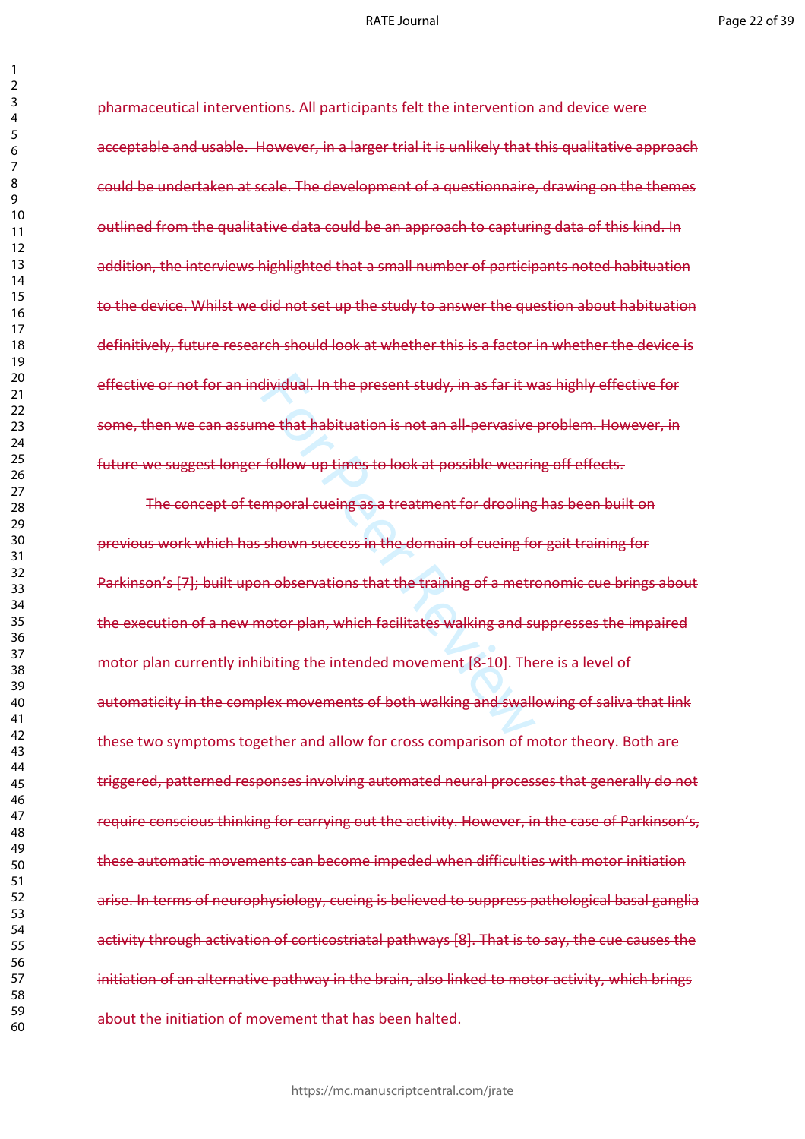#### RATE Journal

pharmaceutical interventions. All participants felt the intervention and device were acceptable and usable. However, in a larger trial it is unlikely that this qualitative approach could be undertaken at scale. The development of a questionnaire, drawing on the themes outlined from the qualitative data could be an approach to capturing data of this kind. In addition, the interviews highlighted that a small number of participants noted habituation to the device. Whilst we did not set up the study to answer the question about habituation definitively, future research should look at whether this is a factor in whether the device is effective or not for an individual. In the present study, in as far it was highly effective for some, then we can assume that habituation is not an all-pervasive problem. However, in future we suggest longer follow-up times to look at possible wearing off effects.

dividual. In the present study, in as far it w<br>ne that habituation is not an all-pervasive-<br>follow-up times to look at possible wearin<br>mporal cueing as a treatment for drooling<br>shown success in the domain of cueing fo<br>n ob The concept of temporal cueing as a treatment for drooling has been built on previous work which has shown success in the domain of cueing for gait training for Parkinson's [7]; built upon observations that the training of a metronomic cue brings about the execution of a new motor plan, which facilitates walking and suppresses the impaired motor plan currently inhibiting the intended movement [8-10]. There is a level of automaticity in the complex movements of both walking and swallowing of saliva that link these two symptoms together and allow for cross comparison of motor theory. Both are triggered, patterned responses involving automated neural processes that generally do not require conscious thinking for carrying out the activity. However, in the case of Parkinson's, these automatic movements can become impeded when difficulties with motor initiation arise. In terms of neurophysiology, cueing is believed to suppress pathological basal ganglia activity through activation of corticostriatal pathways [8]. That is to say, the cue causes the initiation of an alternative pathway in the brain, also linked to motor activity, which brings about the initiation of movement that has been halted.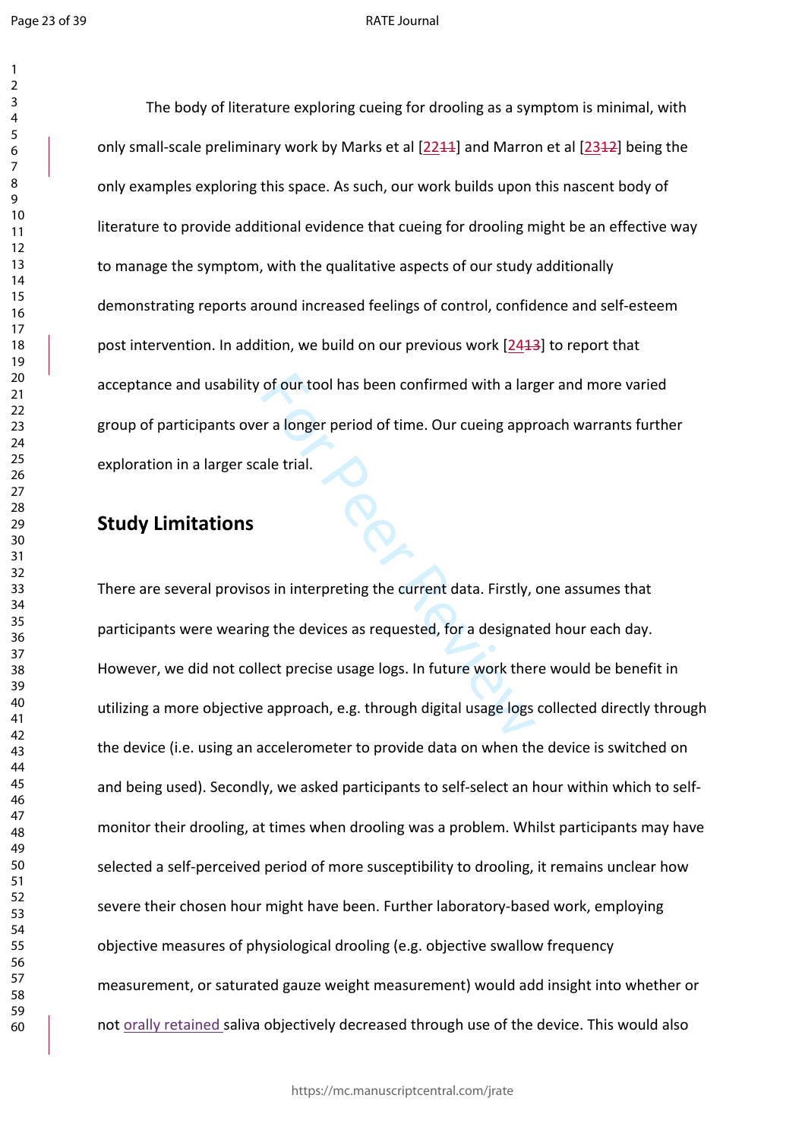$\mathbf{1}$ 

#### RATE Journal

The body of literature exploring cueing for drooling as a symptom is minimal, with only small-scale preliminary work by Marks et al [2211] and Marron et al [2312] being the only examples exploring this space. As such, our work builds upon this nascent body of literature to provide additional evidence that cueing for drooling might be an effective way to manage the symptom, with the qualitative aspects of our study additionally demonstrating reports around increased feelings of control, confidence and self-esteem post intervention. In addition, we build on our previous work [2413] to report that acceptance and usability of our tool has been confirmed with a larger and more varied group of participants over a longer period of time. Our cueing approach warrants further exploration in a larger scale trial.

# **Study Limitations**

of our tool has been confirmed with a larger<br>
Internal and trial.<br>
The Peer Review of time. Our cueing approach<br>
Interpreting the current data. Firstly,<br>
Interpreting the devices as requested, for a designate<br>
Interpretise There are several provisos in interpreting the current data. Firstly, one assumes that participants were wearing the devices as requested, for a designated hour each day. However, we did not collect precise usage logs. In future work there would be benefit in utilizing a more objective approach, e.g. through digital usage logs collected directly through the device (i.e. using an accelerometer to provide data on when the device is switched on and being used). Secondly, we asked participants to self-select an hour within which to selfmonitor their drooling, at times when drooling was a problem. Whilst participants may have selected a self-perceived period of more susceptibility to drooling, it remains unclear how severe their chosen hour might have been. Further laboratory-based work, employing objective measures of physiological drooling (e.g. objective swallow frequency measurement, or saturated gauze weight measurement) would add insight into whether or not orally retained saliva objectively decreased through use of the device. This would also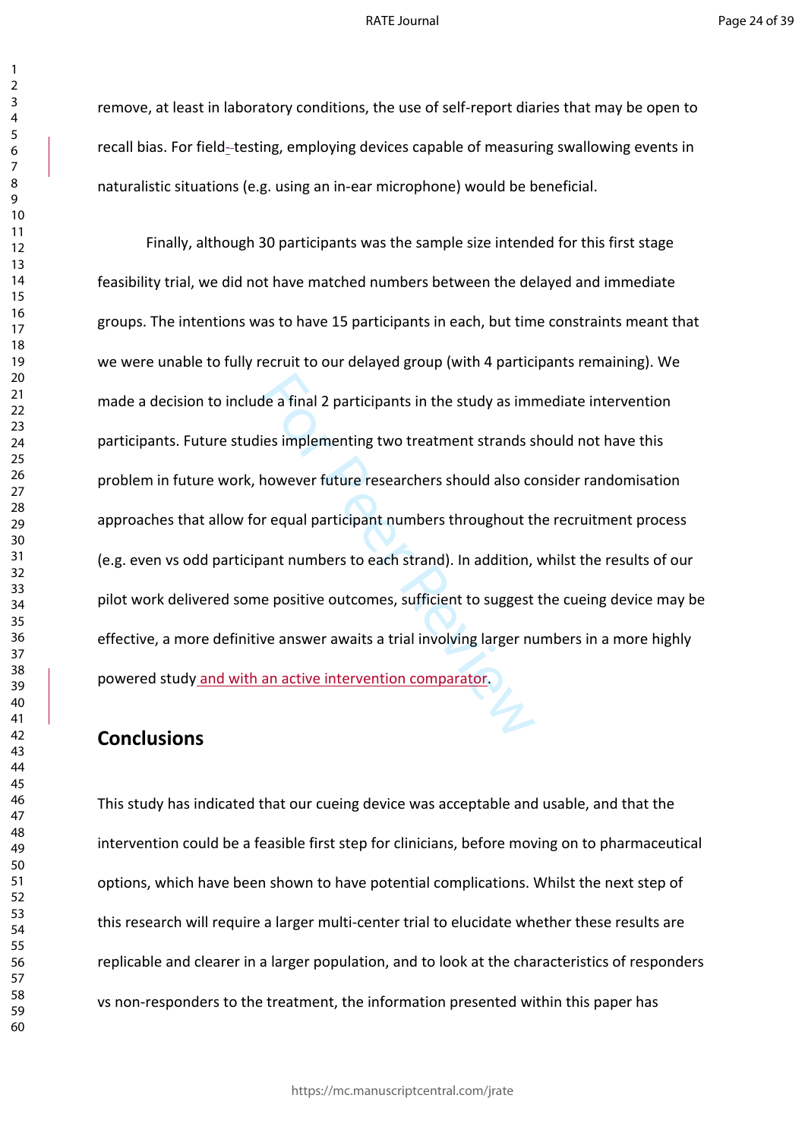remove, at least in laboratory conditions, the use of self-report diaries that may be open to recall bias. For field- testing, employing devices capable of measuring swallowing events in naturalistic situations (e.g. using an in-ear microphone) would be beneficial.

de a final 2 participants in the study as imm<br>ies implementing two treatment strands s<br>however future researchers should also core<br>requal participant numbers throughout than<br>than thumbers to each strand). In addition,<br>e po Finally, although 30 participants was the sample size intended for this first stage feasibility trial, we did not have matched numbers between the delayed and immediate groups. The intentions was to have 15 participants in each, but time constraints meant that we were unable to fully recruit to our delayed group (with 4 participants remaining). We made a decision to include a final 2 participants in the study as immediate intervention participants. Future studies implementing two treatment strands should not have this problem in future work, however future researchers should also consider randomisation approaches that allow for equal participant numbers throughout the recruitment process (e.g. even vs odd participant numbers to each strand). In addition, whilst the results of our pilot work delivered some positive outcomes, sufficient to suggest the cueing device may be effective, a more definitive answer awaits a trial involving larger numbers in a more highly powered study and with an active intervention comparator.

# **Conclusions**

This study has indicated that our cueing device was acceptable and usable, and that the intervention could be a feasible first step for clinicians, before moving on to pharmaceutical options, which have been shown to have potential complications. Whilst the next step of this research will require a larger multi-center trial to elucidate whether these results are replicable and clearer in a larger population, and to look at the characteristics of responders vs non-responders to the treatment, the information presented within this paper has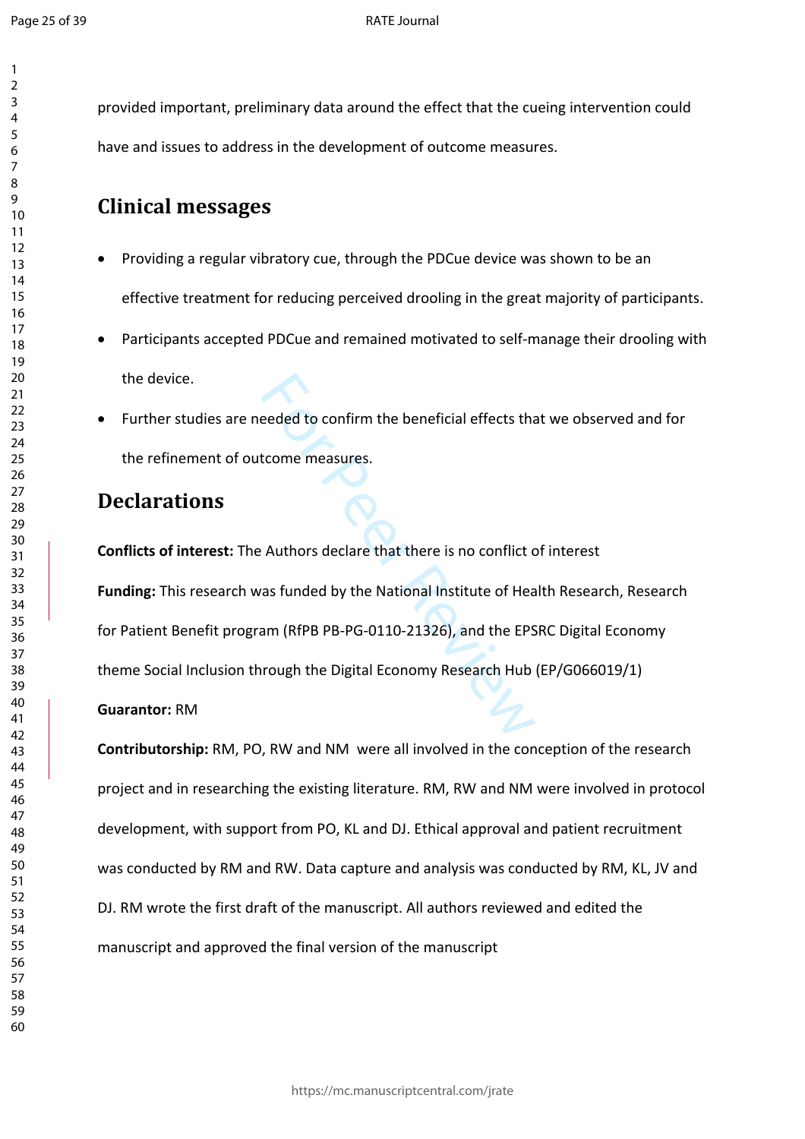$\mathbf{1}$  $\overline{2}$  $\overline{3}$ 

provided important, preliminary data around the effect that the cueing intervention could have and issues to address in the development of outcome measures.

# **Clinical messages**

- Providing a regular vibratory cue, through the PDCue device was shown to be an effective treatment for reducing perceived drooling in the great majority of participants.
- Participants accepted PDCue and remained motivated to self-manage their drooling with the device.
- Further studies are needed to confirm the beneficial effects that we observed and for the refinement of outcome measures.

# **Declarations**

eeded to confirm the beneficial effects that<br>tcome measures.<br>Authors declare that there is no conflict constant and the National Institute of Head<br>am (RfPB PB-PG-0110-21326), and the EPS<br>rrough the Digital Economy Research **Conflicts of interest:** The Authors declare that there is no conflict of interest **Funding:** This research was funded by the National Institute of Health Research, Research for Patient Benefit program (RfPB PB-PG-0110-21326), and the EPSRC Digital Economy theme Social Inclusion through the Digital Economy Research Hub (EP/G066019/1)

# **Guarantor:** RM

**Contributorship:** RM, PO, RW and NM were all involved in the conception of the research project and in researching the existing literature. RM, RW and NM were involved in protocol development, with support from PO, KL and DJ. Ethical approval and patient recruitment was conducted by RM and RW. Data capture and analysis was conducted by RM, KL, JV and DJ. RM wrote the first draft of the manuscript. All authors reviewed and edited the manuscript and approved the final version of the manuscript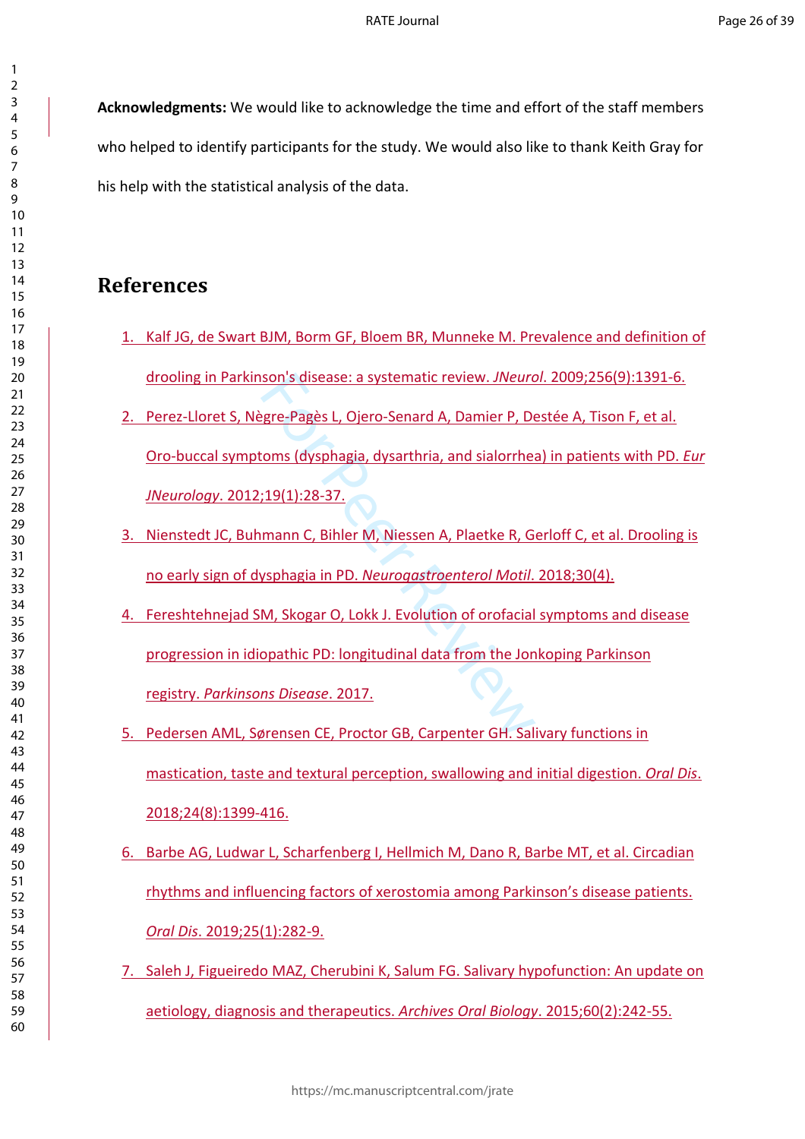**Acknowledgments:** We would like to acknowledge the time and effort of the staff members who helped to identify participants for the study. We would also like to thank Keith Gray for his help with the statistical analysis of the data.

# **References**

- 1. Kalf JG, de Swart BJM, Borm GF, Bloem BR, Munneke M. Prevalence and definition of drooling in Parkinson's disease: a systematic review. *JNeurol*. 2009;256(9):1391-6.
- son's disease: a systematic review. JNeuro<br>gre-Pagès L, Ojero-Senard A, Damier P, De<br>coms (dysphagia, dysarthria, and sialorrhea<br>;19(1):28-37.<br>mann C, Bihler M, Niessen A, Plaetke R, G<br>ysphagia in PD. Neurogastroenterol Mo 2. Perez-Lloret S, Nègre-Pagès L, Ojero-Senard A, Damier P, Destée A, Tison F, et al. Oro-buccal symptoms (dysphagia, dysarthria, and sialorrhea) in patients with PD. *Eur JNeurology*. 2012;19(1):28-37.
- 3. Nienstedt JC, Buhmann C, Bihler M, Niessen A, Plaetke R, Gerloff C, et al. Drooling is no early sign of dysphagia in PD. *Neurogastroenterol Motil*. 2018;30(4).
- 4. Fereshtehnejad SM, Skogar O, Lokk J. Evolution of orofacial symptoms and disease progression in idiopathic PD: longitudinal data from the Jonkoping Parkinson registry. *Parkinsons Disease*. 2017.
- 5. Pedersen AML, Sørensen CE, Proctor GB, Carpenter GH. Salivary functions in mastication, taste and textural perception, swallowing and initial digestion. *Oral Dis*. 2018;24(8):1399-416.
- 6. Barbe AG, Ludwar L, Scharfenberg I, Hellmich M, Dano R, Barbe MT, et al. Circadian rhythms and influencing factors of xerostomia among Parkinson's disease patients. *Oral Dis*. 2019;25(1):282-9.
- 7. Saleh J, Figueiredo MAZ, Cherubini K, Salum FG. Salivary hypofunction: An update on aetiology, diagnosis and therapeutics. *Archives Oral Biology*. 2015;60(2):242-55.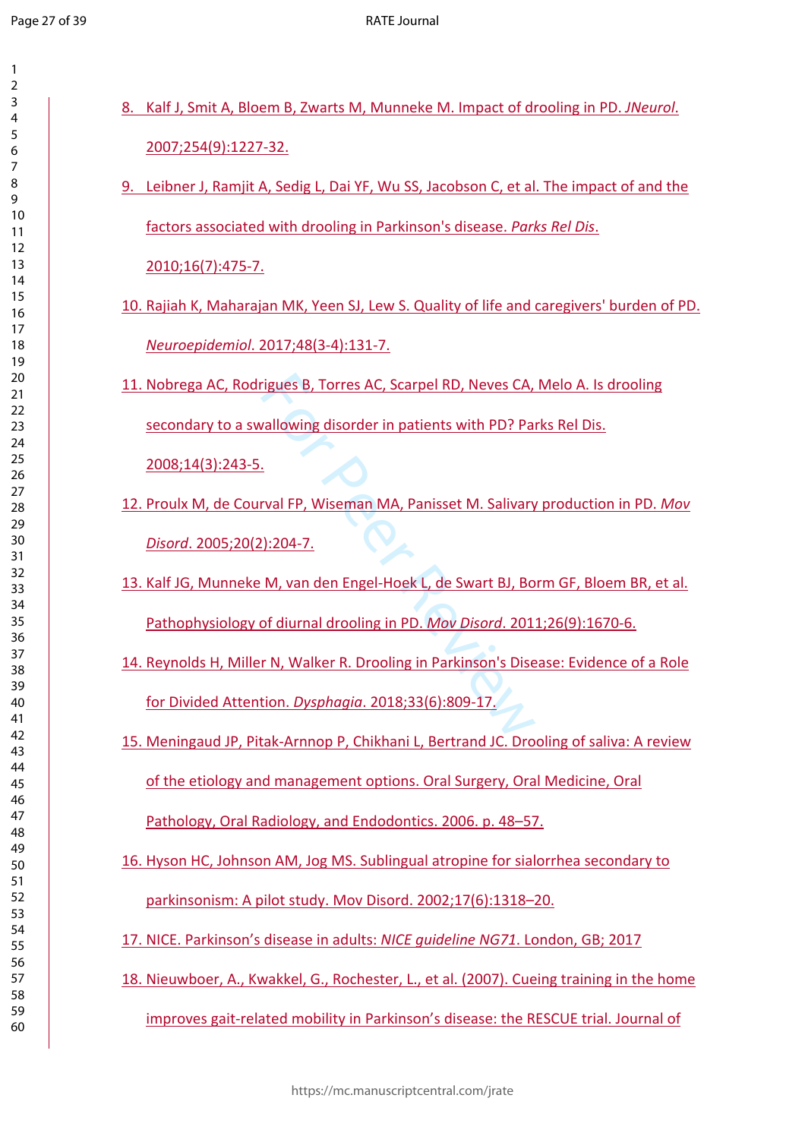$\mathbf{1}$  $\overline{2}$  $\overline{3}$  $\overline{4}$  $\overline{7}$ 

| 8. Kalf J, Smit A, Bloem B, Zwarts M, Munneke M. Impact of drooling in PD. JNeurol.       |  |
|-------------------------------------------------------------------------------------------|--|
| 2007;254(9):1227-32.                                                                      |  |
| 9. Leibner J, Ramjit A, Sedig L, Dai YF, Wu SS, Jacobson C, et al. The impact of and the  |  |
| factors associated with drooling in Parkinson's disease. Parks Rel Dis.                   |  |
| 2010;16(7):475-7.                                                                         |  |
| 10. Rajiah K, Maharajan MK, Yeen SJ, Lew S. Quality of life and caregivers' burden of PD. |  |
| Neuroepidemiol. 2017;48(3-4):131-7.                                                       |  |
| 11. Nobrega AC, Rodrigues B, Torres AC, Scarpel RD, Neves CA, Melo A. Is drooling         |  |
| secondary to a swallowing disorder in patients with PD? Parks Rel Dis.                    |  |
| 2008;14(3):243-5.                                                                         |  |
| 12. Proulx M, de Courval FP, Wiseman MA, Panisset M. Salivary production in PD. Mov       |  |
| Disord. 2005;20(2):204-7.                                                                 |  |
| 13. Kalf JG, Munneke M, van den Engel-Hoek L, de Swart BJ, Borm GF, Bloem BR, et al.      |  |
| Pathophysiology of diurnal drooling in PD. Mov Disord. 2011;26(9):1670-6.                 |  |
| 14. Reynolds H, Miller N, Walker R. Drooling in Parkinson's Disease: Evidence of a Role   |  |
| for Divided Attention. Dysphagia. 2018;33(6):809-17.                                      |  |
| 15. Meningaud JP, Pitak-Arnnop P, Chikhani L, Bertrand JC. Drooling of saliva: A review   |  |
| of the etiology and management options. Oral Surgery, Oral Medicine, Oral                 |  |
| Pathology, Oral Radiology, and Endodontics. 2006. p. 48-57.                               |  |
| 16. Hyson HC, Johnson AM, Jog MS. Sublingual atropine for sialorrhea secondary to         |  |
| parkinsonism: A pilot study. Mov Disord. 2002;17(6):1318-20.                              |  |
| 17. NICE. Parkinson's disease in adults: NICE quideline NG71. London, GB; 2017            |  |
| 18. Nieuwboer, A., Kwakkel, G., Rochester, L., et al. (2007). Cueing training in the home |  |
| improves gait-related mobility in Parkinson's disease: the RESCUE trial. Journal of       |  |
|                                                                                           |  |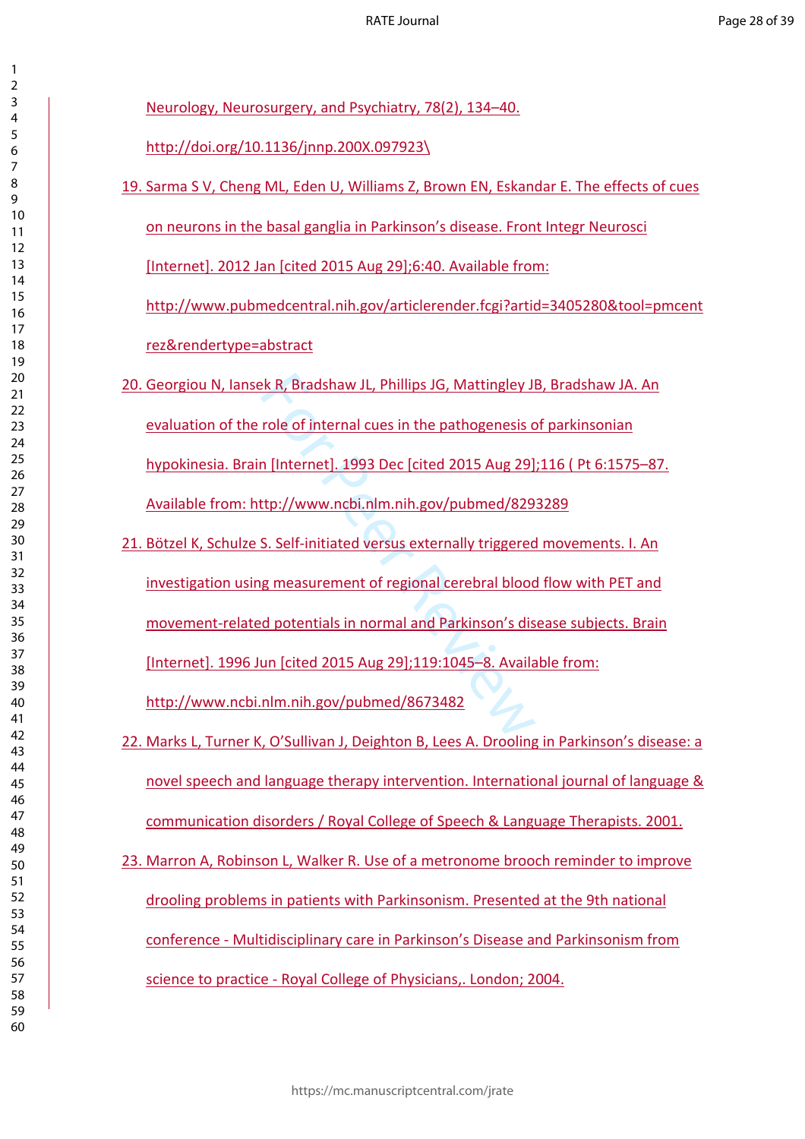| $\overline{\mathbf{c}}$ |                                |
|-------------------------|--------------------------------|
|                         |                                |
| 3<br>4                  | <u>N(</u>                      |
| 5                       |                                |
| 6                       | $ht$                           |
| $\overline{7}$          |                                |
| 8                       | 19. Sa                         |
| 9                       |                                |
| 10                      |                                |
| 11                      | $or$                           |
| 12                      |                                |
| 13<br>14                | $[$ lr                         |
| 15                      |                                |
| 16                      | <u>ht</u>                      |
| 17                      |                                |
| 18                      | <u>re</u>                      |
| 19                      |                                |
| 20                      |                                |
| 21                      | 20. Ge                         |
| 22                      |                                |
| 23                      | $e$                            |
| 24                      |                                |
| 25                      | <u>hy</u>                      |
| 26                      |                                |
| 27                      | <u>A\</u>                      |
| 28<br>29                |                                |
| 30                      |                                |
| 31                      | <u>Bċ</u><br>21.               |
| 32                      |                                |
| 33                      | <u>in</u>                      |
| 34                      |                                |
| 35                      | $\underline{m}$                |
| 36                      |                                |
| 37                      | <u>[Ir</u>                     |
| 38                      |                                |
| 39                      |                                |
| 40                      | <u>ht</u>                      |
| 41<br>42                |                                |
| 43                      | 22. M                          |
| 44                      |                                |
| 45                      | n <sub>c</sub>                 |
| 46                      |                                |
| 47                      | $\underline{\text{co}}$        |
| 48                      |                                |
| 49                      |                                |
| 50                      | 23.<br>$\overline{\mathsf{M}}$ |
| 51                      |                                |
| 52                      | $\underline{dr}$               |
| 53<br>54                |                                |
| 55                      | $\underline{\text{cc}}$        |
| 56                      |                                |
| 57                      | <u>sc</u>                      |
| 58                      |                                |
| 59                      |                                |

eurology, Neurosurgery, and Psychiatry, 78(2), 134–40.

 $\text{tr}/\text{doi.org}/10.1136/\text{innp}.200X.097923\}$ 

Irma S V, Cheng ML, Eden U, Williams Z, Brown EN, Eskandar E. The effects of cues n neurons in the basal ganglia in Parkinson's disease. Front Integr Neurosci

[Internet]. 2012 Jan [cited 2015 Aug 29];6:40. Available from:

[http://www.pubmedcentral.nih.gov/articlerender.fcgi?artid=3405280&tool=pmcent](http://www.pubmedcentral.nih.gov/articlerender.fcgi?artid=3405280&tool=pmcentrez&rendertype=abstract) z&rendertype=abstract

- eorgiou N, Iansek R, Bradshaw JL, Phillips JG, Mattingley JB, Bradshaw JA. An raluation of the role of internal cues in the pathogenesis of parkinsonian rpokinesia. Brain [Internet]. 1993 Dec [cited 2015 Aug 29];116 (Pt 6:1575–87. vailable from: http://www.ncbi.nlm.nih.gov/pubmed/8293289
- EXER, Bradshaw JL, Phillips JG, Mattingley JI<br>
role of internal cues in the pathogenesis complement of internet and the pathogenesis of<br>
1 (Internet 1.1993 Dec [cited 2015 Aug 29]<br>
11.1997 Dec [cited 2015 Aug 29]<br>
5. Selfötzel K, Schulze S. Self-initiated versus externally triggered movements. I. An vestigation using measurement of regional cerebral blood flow with PET and ovement-related potentials in normal and Parkinson's disease subjects. Brain [Internet]. 1996 Jun [cited 2015 Aug 29];119:1045–8. Available from: <http://www.ncbi.nlm.nih.gov/pubmed/8673482>
- larks L, Turner K, O'Sullivan J, Deighton B, Lees A. Drooling in Parkinson's disease: a byel speech and language therapy intervention. International journal of language & communication disorders / Royal College of Speech & Language Therapists. 2001.
- larron A, Robinson L, Walker R. Use of a metronome brooch reminder to improve ooling problems in patients with Parkinsonism. Presented at the 9th national conference - Multidisciplinary care in Parkinson's Disease and Parkinsonism from ience to practice - Royal College of Physicians,. London; 2004.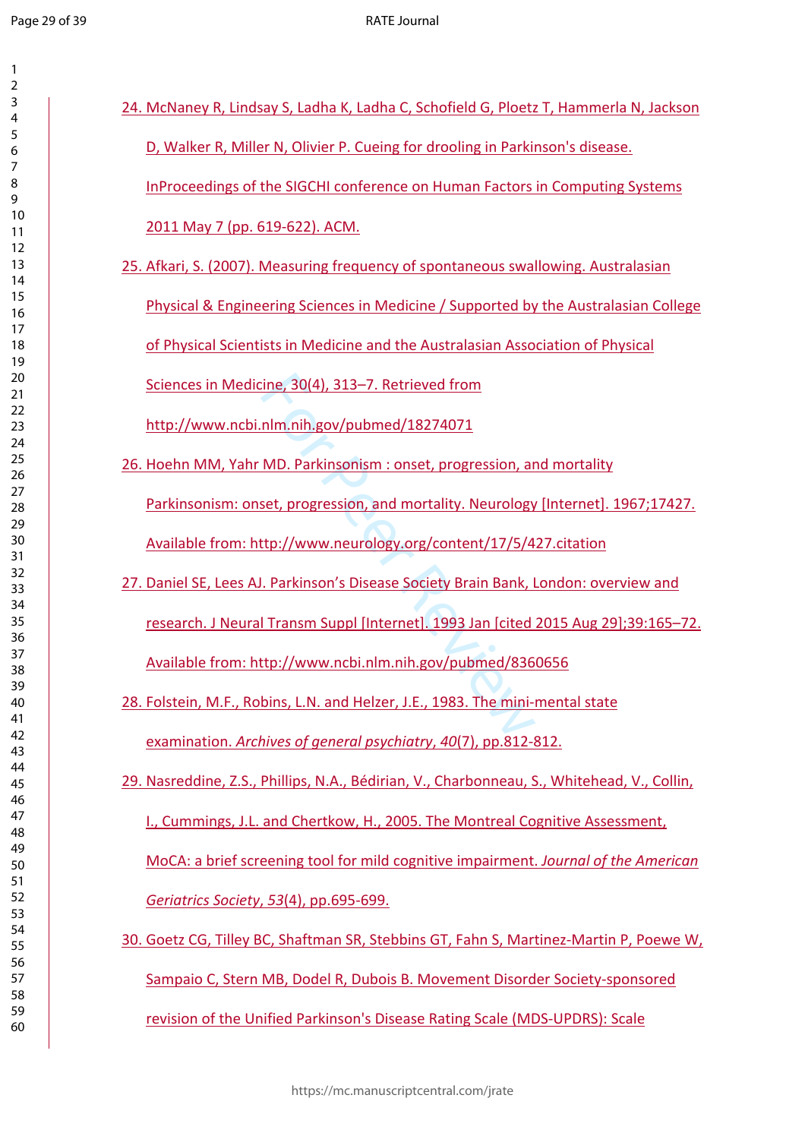$\mathbf{1}$  $\overline{2}$  $\overline{3}$  $\overline{4}$  $\overline{7}$  $\,8\,$  $\mathsf{9}$ 

| 24. McNaney R, Lindsay S, Ladha K, Ladha C, Schofield G, Ploetz T, Hammerla N, Jackson      |
|---------------------------------------------------------------------------------------------|
| D, Walker R, Miller N, Olivier P. Cueing for drooling in Parkinson's disease.               |
| InProceedings of the SIGCHI conference on Human Factors in Computing Systems                |
| 2011 May 7 (pp. 619-622). ACM.                                                              |
| 25. Afkari, S. (2007). Measuring frequency of spontaneous swallowing. Australasian          |
| Physical & Engineering Sciences in Medicine / Supported by the Australasian College         |
| of Physical Scientists in Medicine and the Australasian Association of Physical             |
| Sciences in Medicine, 30(4), 313-7. Retrieved from                                          |
| http://www.ncbi.nlm.nih.gov/pubmed/18274071                                                 |
| 26. Hoehn MM, Yahr MD. Parkinsonism : onset, progression, and mortality                     |
| Parkinsonism: onset, progression, and mortality. Neurology [Internet]. 1967;17427.          |
| Available from: http://www.neurology.org/content/17/5/427.citation                          |
| 27. Daniel SE, Lees AJ. Parkinson's Disease Society Brain Bank, London: overview and        |
| research. J Neural Transm Suppl [Internet]. 1993 Jan [cited 2015 Aug 29];39:165-72.         |
| Available from: http://www.ncbi.nlm.nih.gov/pubmed/8360656                                  |
| 28. Folstein, M.F., Robins, L.N. and Helzer, J.E., 1983. The mini-mental state              |
| examination. Archives of general psychiatry, 40(7), pp.812-812.                             |
| 29. Nasreddine, Z.S., Phillips, N.A., Bédirian, V., Charbonneau, S., Whitehead, V., Collin, |
| I., Cummings, J.L. and Chertkow, H., 2005. The Montreal Cognitive Assessment,               |
| MoCA: a brief screening tool for mild cognitive impairment. Journal of the American         |
| Geriatrics Society, 53(4), pp.695-699.                                                      |
| 30. Goetz CG, Tilley BC, Shaftman SR, Stebbins GT, Fahn S, Martinez-Martin P, Poewe W,      |
| Sampaio C, Stern MB, Dodel R, Dubois B. Movement Disorder Society-sponsored                 |
| revision of the Unified Parkinson's Disease Rating Scale (MDS-UPDRS): Scale                 |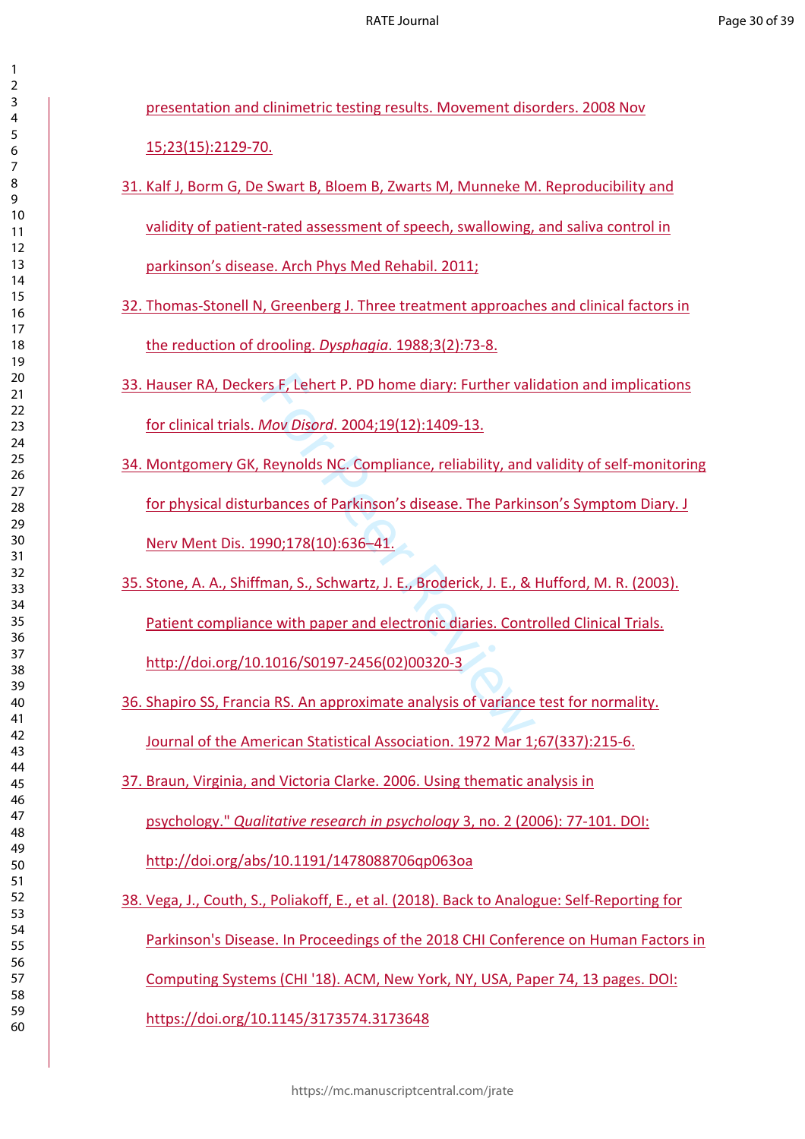| 2                            |  |
|------------------------------|--|
| 3                            |  |
|                              |  |
| 4                            |  |
| 5                            |  |
| 6                            |  |
|                              |  |
|                              |  |
| 8                            |  |
| ĺ<br>)                       |  |
|                              |  |
| 10                           |  |
| 1<br>$\mathbf{1}$            |  |
| $\mathbf{1}$<br>フ            |  |
|                              |  |
| 13                           |  |
| 4<br>1.                      |  |
| 15                           |  |
|                              |  |
| 16                           |  |
| 17                           |  |
| 18                           |  |
|                              |  |
| 19                           |  |
| 20                           |  |
| $\overline{21}$              |  |
|                              |  |
| $\overline{2}$<br>C          |  |
| $\overline{2}$<br>3          |  |
| $\overline{24}$              |  |
|                              |  |
| 25                           |  |
| 26                           |  |
| $^{27}$                      |  |
|                              |  |
| 28                           |  |
| 29                           |  |
| 30                           |  |
|                              |  |
| $\overline{\textbf{3}}$      |  |
| $\overline{\mathbf{3}}$<br>C |  |
| ξ<br>$\overline{\mathbf{3}}$ |  |
|                              |  |
| 34                           |  |
| 35                           |  |
| 36                           |  |
|                              |  |
| 37                           |  |
| 38                           |  |
| 3S<br>J                      |  |
|                              |  |
| 40                           |  |
| 41                           |  |
| 42                           |  |
|                              |  |
| 43                           |  |
| 44                           |  |
| 45                           |  |
|                              |  |
| 46                           |  |
| 47                           |  |
| 48                           |  |
|                              |  |
| 49                           |  |
| 50                           |  |
| 51                           |  |
|                              |  |
| 5<br>$\overline{c}$          |  |
| 5:<br>3                      |  |
| 54                           |  |
|                              |  |
| 55                           |  |
| 56                           |  |
| 57                           |  |
|                              |  |
| 58                           |  |
| 59                           |  |
| 60                           |  |

presentation and clinimetric testing results. Movement disorders. 2008 Nov 15;23(15):2129-70.

- 31. Kalf J, Borm G, De Swart B, Bloem B, Zwarts M, Munneke M. Reproducibility and validity of patient-rated assessment of speech, swallowing, and saliva control in parkinson's disease. Arch Phys Med Rehabil. 2011;
- 32. Thomas-Stonell N, Greenberg J. Three treatment approaches and clinical factors in the reduction of drooling. *Dysphagia*. 1988;3(2):73-8.
- 33. Hauser RA, Deckers F, Lehert P. PD home diary: Further validation and implications for clinical trials. *Mov Disord*. 2004;19(12):1409-13.
- rs F, Lehert P. PD home diary: Further valistical Mov Disord. 2004;19(12):1409-13.<br>
Reynolds NC. Compliance, reliability, and<br>
thances of Parkinson's disease. The Parkin<br>
990;178(10):636–41.<br>
man, S., Schwartz, J. E., Brod 34. Montgomery GK, Reynolds NC. Compliance, reliability, and validity of self-monitoring for physical disturbances of Parkinson's disease. The Parkinson's Symptom Diary. J Nerv Ment Dis. 1990;178(10):636–41.
- 35. Stone, A. A., Shiffman, S., Schwartz, J. E., Broderick, J. E., & Hufford, M. R. (2003). Patient compliance with paper and electronic diaries. Controlled Clinical Trials. [http://doi.org/10.1016/S0197-2456\(02\)00320-3](http://doi.org/10.1016/S0197-2456(02)00320-3)
- 36. Shapiro SS, Francia RS. An approximate analysis of variance test for normality. Journal of the American Statistical Association. 1972 Mar 1;67(337):215-6.
- 37. Braun, Virginia, and Victoria Clarke. 2006. Using thematic analysis in psychology." *Qualitative research in psychology* 3, no. 2 (2006): 77-101. DOI:

<http://doi.org/abs/10.1191/1478088706qp063oa>

38. Vega, J., Couth, S., Poliakoff, E., et al. (2018). Back to Analogue: Self-Reporting for Parkinson's Disease. In Proceedings of the 2018 CHI Conference on Human Factors in Computing Systems (CHI '18). ACM, New York, NY, USA, Paper 74, 13 pages. DOI: [https://doi.org/10.1145/3173574.3173648](https://doi.org/10.1145/3)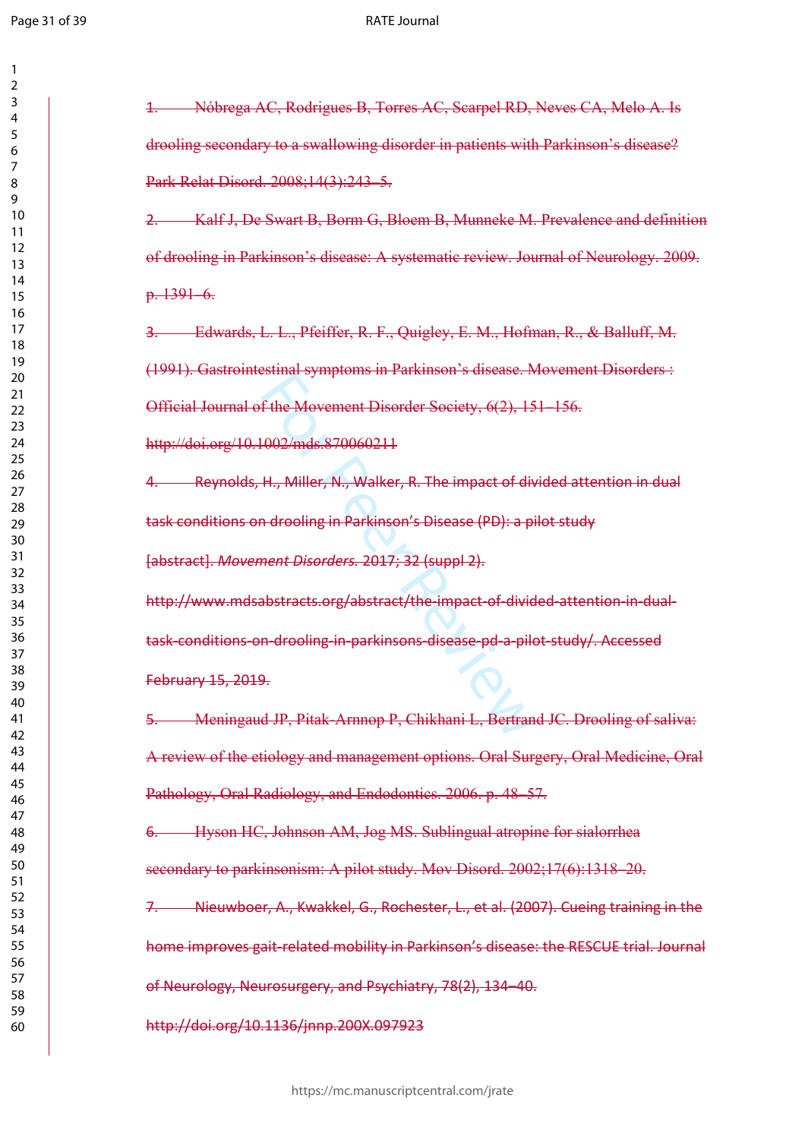$\mathbf{1}$  $\overline{2}$  $\overline{3}$  $\overline{4}$  $\overline{7}$ 

#### RATE Journal

| Nóbrega AC, Rodrigues B, Torres AC, Scarpel RD, Neves CA, Melo A. Is<br>$\pm$          |
|----------------------------------------------------------------------------------------|
| drooling secondary to a swallowing disorder in patients with Parkinson's disease?      |
| Park Relat Disord. 2008;14(3):243-5.                                                   |
| Kalf J, De Swart B, Borm G, Bloem B, Munneke M. Prevalence and definition<br>2.-       |
| of drooling in Parkinson's disease: A systematic review. Journal of Neurology. 2009.   |
| $p.1391-6.$                                                                            |
| 3. Edwards, L. L., Pfeiffer, R. F., Quigley, E. M., Hofman, R., & Balluff, M.          |
| (1991). Gastrointestinal symptoms in Parkinson's disease. Movement Disorders :         |
| Official Journal of the Movement Disorder Society, 6(2), 151-156.                      |
| http://doi.org/10.1002/mds.870060211                                                   |
| 4. Reynolds, H., Miller, N., Walker, R. The impact of divided attention in dual        |
| task conditions on drooling in Parkinson's Disease (PD): a pilot study                 |
| [abstract]. Movement Disorders. 2017; 32 (suppl 2).                                    |
| http://www.mdsabstracts.org/abstract/the-impact-of-divided-attention-in-dual-          |
| task-conditions-on-drooling-in-parkinsons-disease-pd-a-pilot-study/. Accessed          |
| February 15, 2019.                                                                     |
| Meningaud JP, Pitak-Arnnop P, Chikhani L, Bertrand JC. Drooling of saliva:<br>5.       |
| A review of the etiology and management options. Oral Surgery, Oral Medicine, Oral     |
| Pathology, Oral Radiology, and Endodontics. 2006. p. 48-57.                            |
| Hyson HC, Johnson AM, Jog MS. Sublingual atropine for sialorrhea                       |
| secondary to parkinsonism: A pilot study. Mov Disord. 2002;17(6):1318-20.              |
| Nieuwboer, A., Kwakkel, G., Rochester, L., et al. (2007). Cueing training in the<br>7. |
| home improves gait-related mobility in Parkinson's disease: the RESCUE trial. Journal  |
| of Neurology, Neurosurgery, and Psychiatry, 78(2), 134-40.                             |
| http://doi.org/10.1136/jnnp.200X.097923                                                |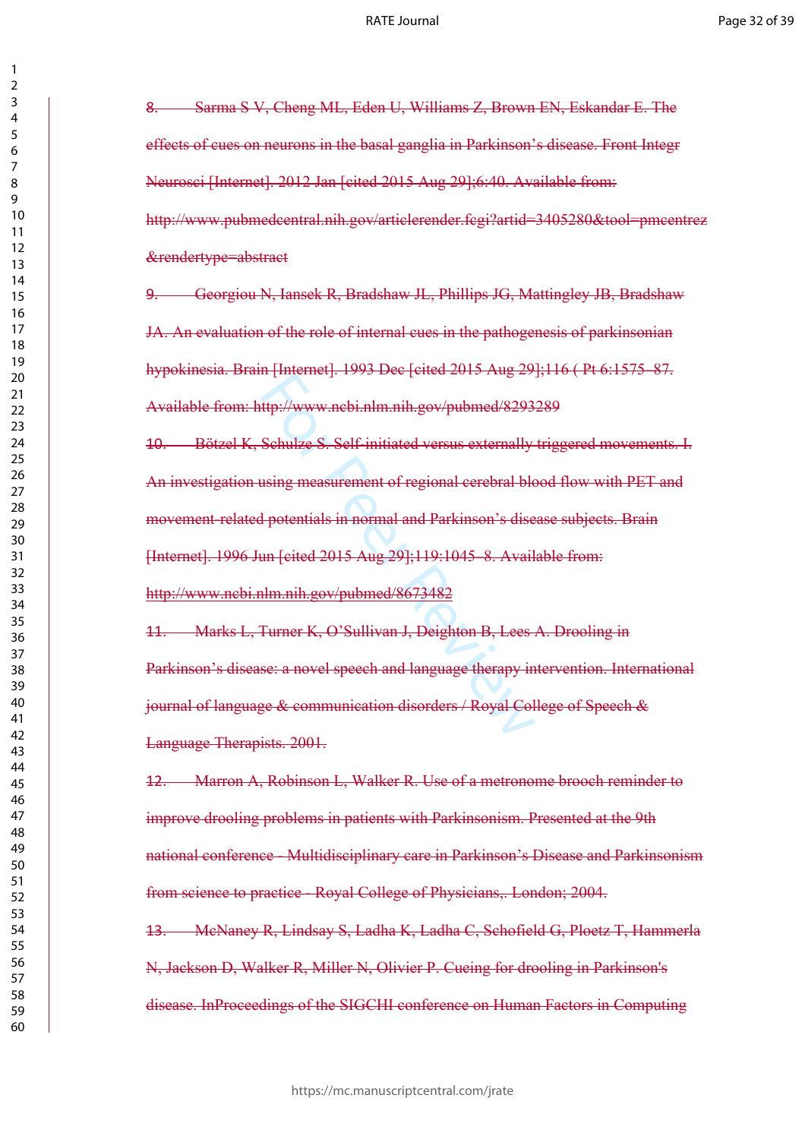> 

8. Sarma S V, Cheng ML, Eden U, Williams Z, Brown EN, Eskandar E. The effects of cues on neurons in the basal ganglia in Parkinson's disease. Front Integr Neurosci [Internet]. 2012 Jan [cited 2015 Aug 29];6:40. Available from: http://www.pubmedcentral.nih.gov/articlerender.fcgi?artid=3405280&tool=pmcentrez &rendertype=abstract

9. Georgiou N, Iansek R, Bradshaw JL, Phillips JG, Mattingley JB, Bradshaw JA. An evaluation of the role of internal cues in the pathogenesis of parkinsonian hypokinesia. Brain [Internet]. 1993 Dec [cited 2015 Aug 29];116 ( Pt 6:1575–87. Available from: http://www.ncbi.nlm.nih.gov/pubmed/8293289

ttp://www.nebi.nlm.nih.gov/pubmed/8293<br>Schulze S. Self-initiated versus externally<br>sing measurement of regional cerebral blog<br>potentials in normal and Parkinson's dise<br>un [cited 2015 Aug 29];119:1045 -8. Avail<br>ilm.nih.gov/ 10. Bötzel K, Schulze S. Self-initiated versus externally triggered movements. I. An investigation using measurement of regional cerebral blood flow with PET and movement-related potentials in normal and Parkinson's disease subjects. Brain [Internet]. 1996 Jun [cited 2015 Aug 29];119:1045–8. Available from: <http://www.ncbi.nlm.nih.gov/pubmed/8673482>

11. Marks L, Turner K, O'Sullivan J, Deighton B, Lees A. Drooling in Parkinson's disease: a novel speech and language therapy intervention. International journal of language & communication disorders / Royal College of Speech & Language Therapists. 2001.

12. Marron A, Robinson L, Walker R. Use of a metronome brooch reminder to improve drooling problems in patients with Parkinsonism. Presented at the 9th national conference - Multidisciplinary care in Parkinson's Disease and Parkinsonism from science to practice - Royal College of Physicians,. London; 2004.

13. McNaney R, Lindsay S, Ladha K, Ladha C, Schofield G, Ploetz T, Hammerla N, Jackson D, Walker R, Miller N, Olivier P. Cueing for drooling in Parkinson's disease. InProceedings of the SIGCHI conference on Human Factors in Computing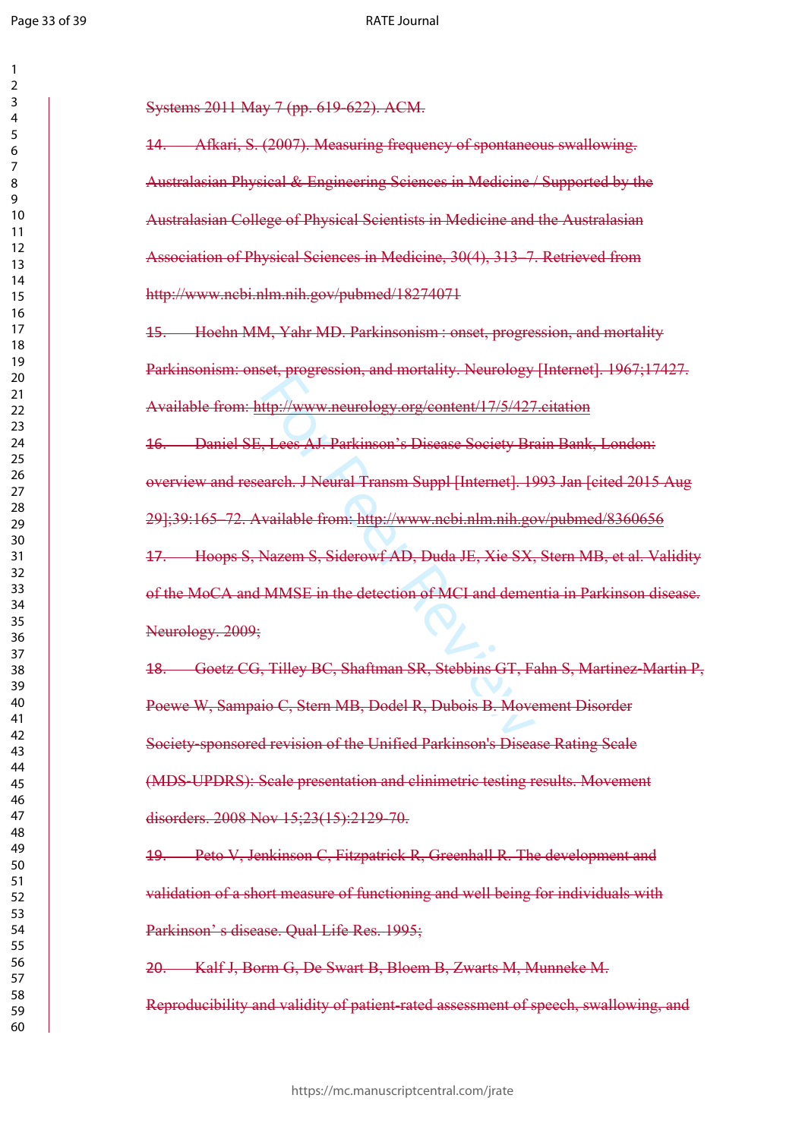$\mathbf{1}$ 

#### RATE Journal

| 1                            |
|------------------------------|
| 2                            |
| 3                            |
| 4                            |
| 5                            |
| 6                            |
| 8                            |
| $\mathbf$<br>)               |
| 10                           |
| 1<br>$\mathbf{1}$            |
| 1<br>フ                       |
| $\mathbf{1}$<br>3            |
| $\overline{14}$              |
| 15                           |
| 16                           |
| 1                            |
| 18                           |
| 19                           |
| 20                           |
| $\overline{21}$              |
| $\overline{2}$<br>2          |
| $\overline{2}$<br>3          |
| $\overline{24}$<br>25        |
| $\frac{26}{5}$               |
| $^{27}$                      |
| 28                           |
| 29                           |
| 30                           |
| $\overline{\textbf{3}}$      |
| $\overline{\mathbf{3}}$<br>2 |
| $\overline{\mathbf{3}}$<br>ξ |
| 34                           |
| 35                           |
| 36                           |
| 37                           |
| 88                           |
| 39                           |
| 40                           |
| 41                           |
| 4<br>C                       |
| 43                           |
| 44<br>45                     |
| 46                           |
| 47                           |
| 48                           |
| 49                           |
| 50                           |
| 51                           |
| $\overline{c}$<br>5          |
| 5.<br>3                      |
| 54                           |
| 55                           |
| 56                           |
| 57                           |
| 58                           |
| 59                           |
| 60                           |

Systems 2011 May 7 (pp. 619-622). ACM.

14. Afkari, S. (2007). Measuring frequency of spontaneous swallowing. Australasian Physical & Engineering Sciences in Medicine / Supported by the Australasian College of Physical Scientists in Medicine and the Australasian Association of Physical Sciences in Medicine, 30(4), 313–7. Retrieved from http://www.ncbi.nlm.nih.gov/pubmed/18274071

15. Hoehn MM, Yahr MD. Parkinsonism : onset, progression, and mortality Parkinsonism: onset, progression, and mortality. Neurology [Internet]. 1967;17427. Available from:<http://www.neurology.org/content/17/5/427.citation>

For Progression, and increasing increasingly<br>
Http://www.neurology.org/content/17/5/427<br>
For Peer AJ. Parkinson's Disease Society Branch.<br>
For Peer Review Review Program is not peer Section of MCI and deme<br>
Nazem S, Sidero 16. Daniel SE, Lees AJ. Parkinson's Disease Society Brain Bank, London: overview and research. J Neural Transm Suppl [Internet]. 1993 Jan [cited 2015 Aug 29];39:165–72. Available from: <http://www.ncbi.nlm.nih.gov/pubmed/8360656> 17. Hoops S, Nazem S, Siderowf AD, Duda JE, Xie SX, Stern MB, et al. Validity of the MoCA and MMSE in the detection of MCI and dementia in Parkinson disease. Neurology. 2009;

18. Goetz CG, Tilley BC, Shaftman SR, Stebbins GT, Fahn S, Martinez ‐Martin P, Poewe W, Sampaio C, Stern MB, Dodel R, Dubois B. Movement Disorder Society ‐sponsored revision of the Unified Parkinson's Disease Rating Scale (MDS ‐UPDRS): Scale presentation and clinimetric testing results. Movement disorders. 2008 Nov 15;23(15):2129-70.

19. Peto V, Jenkinson C, Fitzpatrick R, Greenhall R. The development and validation of a short measure of functioning and well being for individuals with Parkinson' s disease. Qual Life Res. 1995;

20. Kalf J, Borm G, De Swart B, Bloem B, Zwarts M, Munneke M. Reproducibility and validity of patient-rated assessment of speech, swallowing, and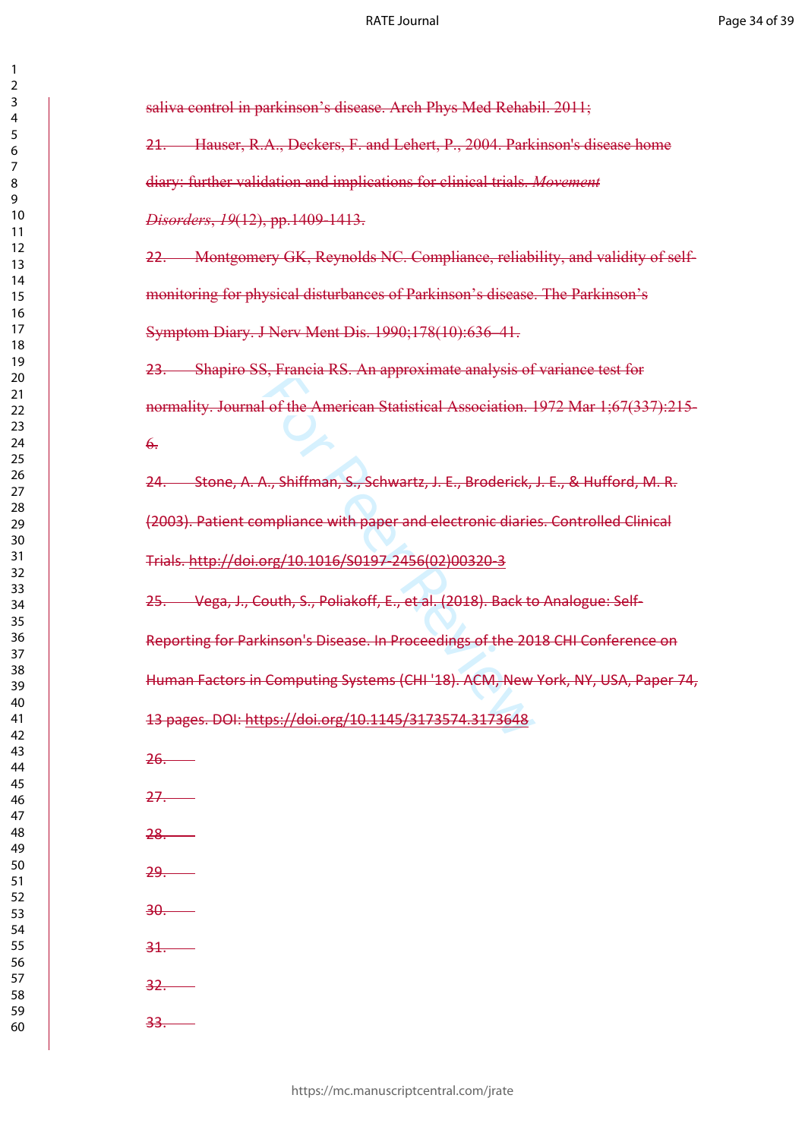saliva control in parkinson's disease. Arch Phys Med Rehabil. 2011;

21. Hauser, R.A., Deckers, F. and Lehert, P., 2004. Parkinson's disease home diary: further validation and implications for clinical trials. *Movement Disorders*, *19*(12), pp.1409-1413.

22. Montgomery GK, Reynolds NC. Compliance, reliability, and validity of selfmonitoring for physical disturbances of Parkinson's disease. The Parkinson's Symptom Diary. J Nerv Ment Dis. 1990;178(10):636–41.

23. Shapiro SS, Francia RS. An approximate analysis of variance test for normality. Journal of the American Statistical Association. 1972 Mar 1;67(337):215-  $\theta$ .

24. Stone, A. A., Shiffman, S., Schwartz, J. E., Broderick, J. E., & Hufford, M. R. (2003). Patient compliance with paper and electronic diaries. Controlled Clinical Trials. [http://doi.org/10.1016/S0197-2456\(02\)00320-3](http://doi.org/10.1016/S0197-2456(02)00320-3)

25. Vega, J., Couth, S., Poliakoff, E., et al. (2018). Back to Analogue: Self-

9, Francia RS, Fin approximate analysis of<br>1 of the American Statistical Association.<br>1<br>4., Shiffman, S., Sch[w](https://doi.org/10.1145/3173574.3173648)artz, J. E., Broderick,<br>mpliance with paper and electronic diarie<br>org/10.1016/S0197-2456(02)00320-3<br>outh, S., Po Reporting for Parkinson's Disease. In Proceedings of the 2018 CHI Conference on Human Factors in Computing Systems (CHI '18). ACM, New York, NY, USA, Paper 74, 13 pages. DOI: https://doi.org/10.1145/3173574.3173648

26.

27.

28.

29.

30.

31.

32.

33.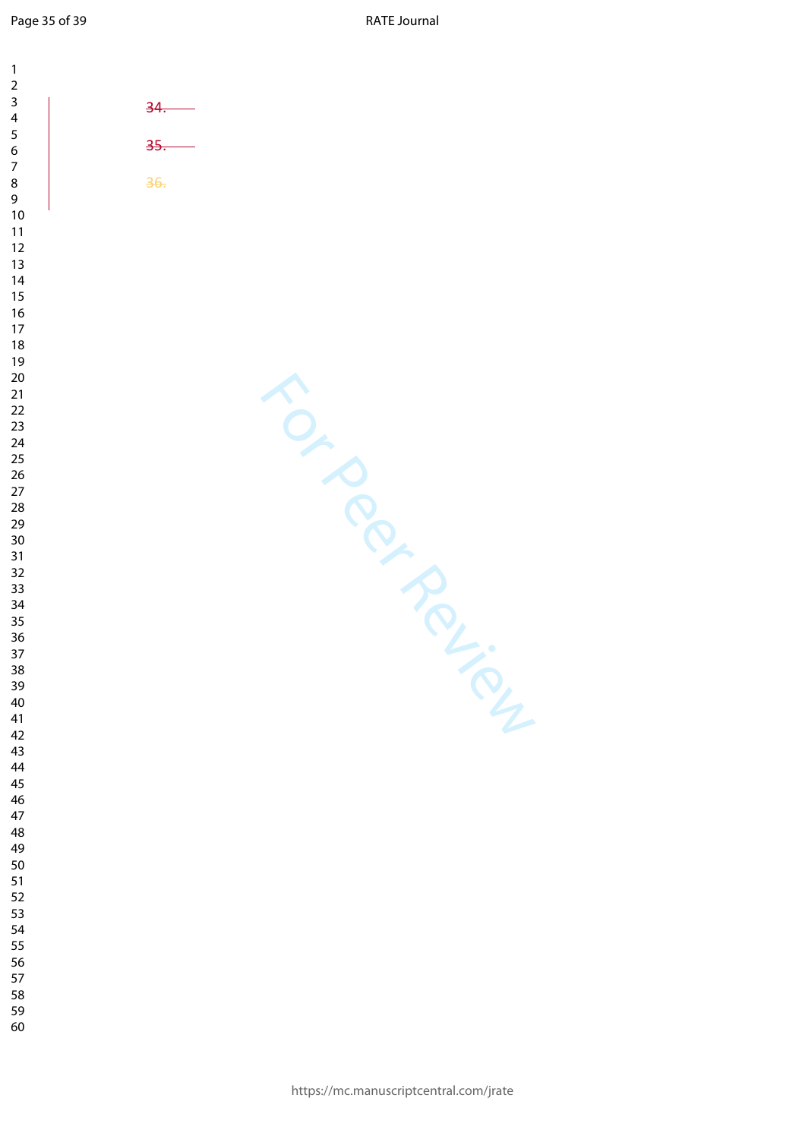Page 35 of 39

RATE Journal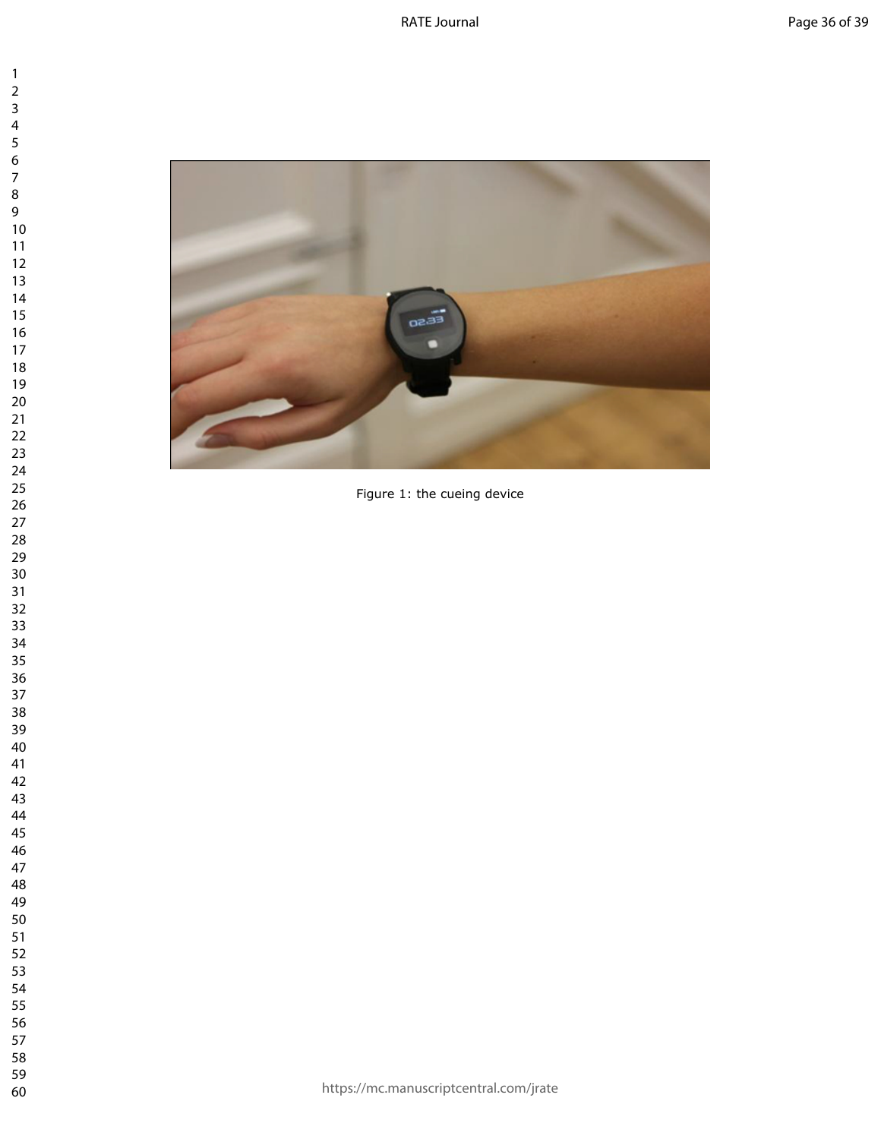

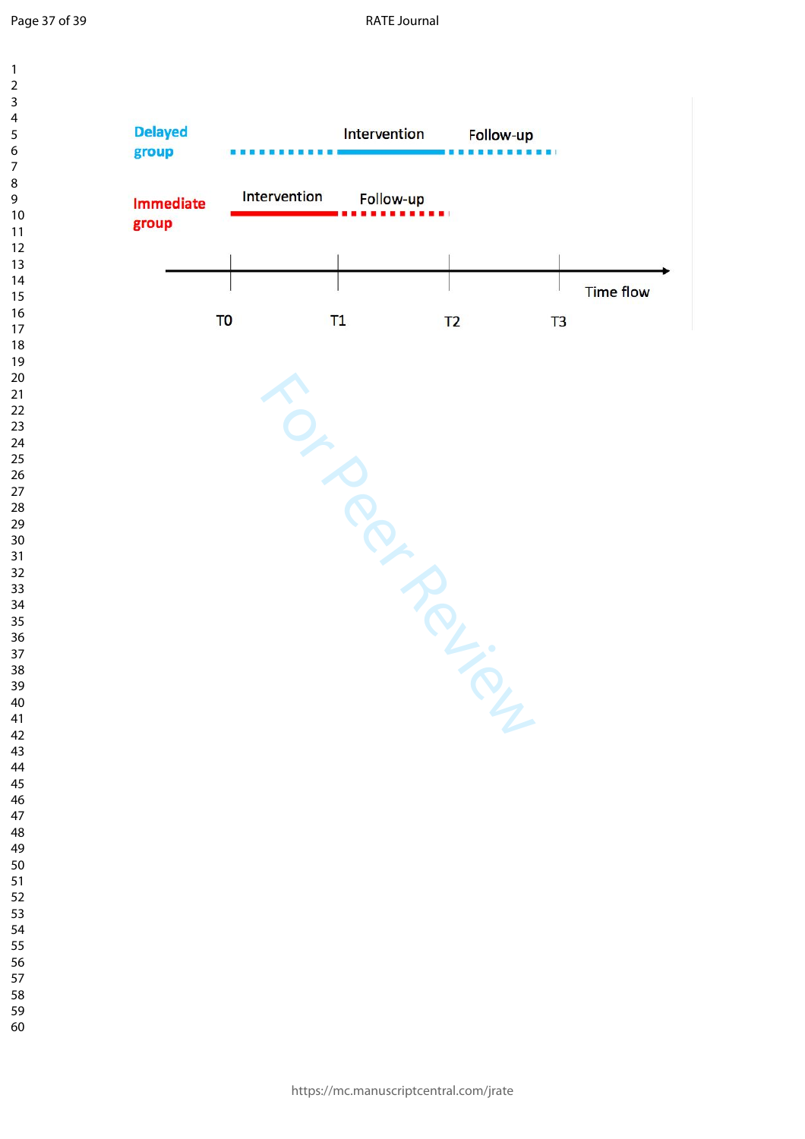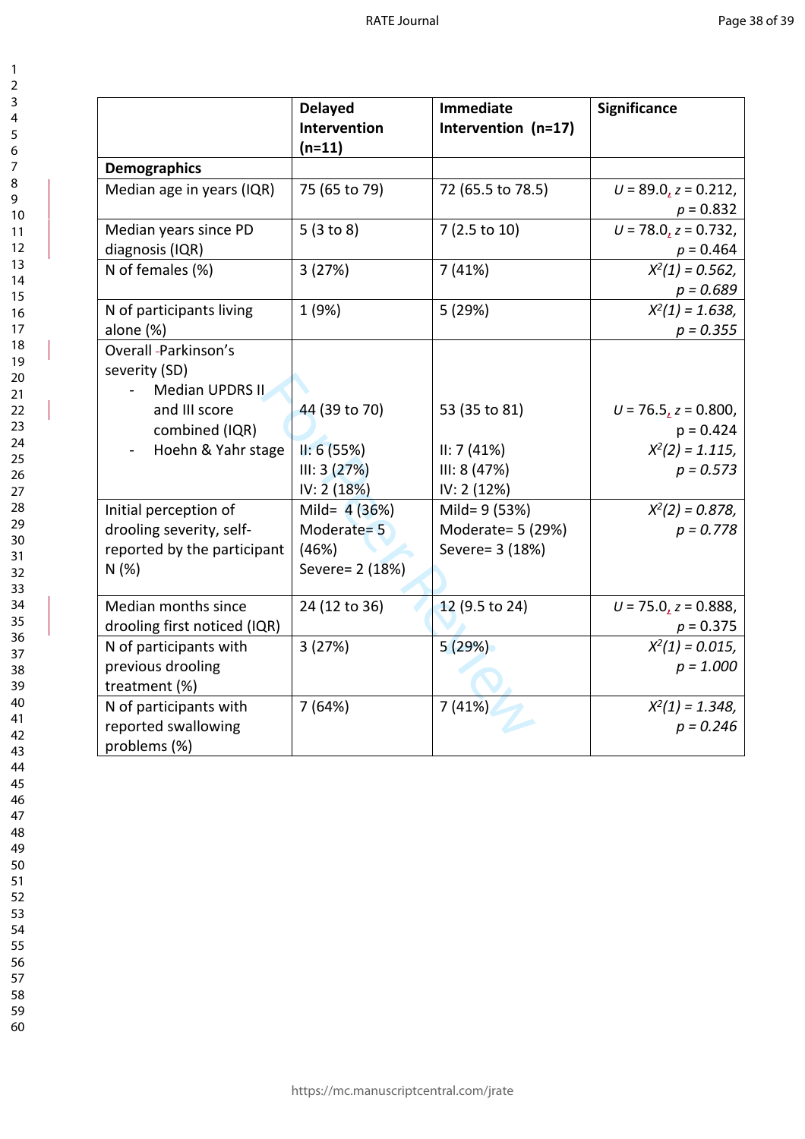|                                                                                          | <b>Delayed</b><br>Intervention<br>$(n=11)$                 | <b>Immediate</b><br>Intervention (n=17)                | <b>Significance</b>                       |
|------------------------------------------------------------------------------------------|------------------------------------------------------------|--------------------------------------------------------|-------------------------------------------|
| <b>Demographics</b>                                                                      |                                                            |                                                        |                                           |
| Median age in years (IQR)                                                                | 75 (65 to 79)                                              | 72 (65.5 to 78.5)                                      | $U = 89.0$ , $z = 0.212$ ,<br>$p = 0.832$ |
| Median years since PD<br>diagnosis (IQR)                                                 | 5(3 to 8)                                                  | 7 (2.5 to 10)                                          | $U = 78.0$ , $z = 0.732$ ,<br>$p = 0.464$ |
| N of females (%)                                                                         | 3(27%)                                                     | 7(41%)                                                 | $X^2(1) = 0.562$ ,<br>$p = 0.689$         |
| N of participants living<br>alone (%)                                                    | 1 (9%)                                                     | 5 (29%)                                                | $X^2(1) = 1.638$<br>$p = 0.355$           |
| Overall -Parkinson's<br>severity (SD)<br>Median UPDRS II                                 |                                                            |                                                        |                                           |
| and III score<br>combined (IQR)                                                          | 44 (39 to 70)                                              | 53 (35 to 81)                                          | $U = 76.5$ , $z = 0.800$ ,<br>$p = 0.424$ |
| Hoehn & Yahr stage                                                                       | II: 6(55%)<br>III: 3(27%)<br>IV: 2(18%)                    | II: 7(41%)<br>III: 8(47%)<br>IV: 2(12%)                | $X^2(2) = 1.115$ ,<br>$p = 0.573$         |
| Initial perception of<br>drooling severity, self-<br>reported by the participant<br>N(%) | Mild= $4(36%)$<br>Moderate= 5<br>(46%)<br>Severe = 2 (18%) | Mild= 9 (53%)<br>Moderate= 5 (29%)<br>Severe = 3 (18%) | $X^2(2) = 0.878$<br>$p = 0.778$           |
| Median months since<br>drooling first noticed (IQR)                                      | 24 (12 to 36)                                              | 12 (9.5 to 24)                                         | $U = 75.0$ , $z = 0.888$ ,<br>$p = 0.375$ |
| N of participants with<br>previous drooling<br>treatment (%)                             | 3(27%)                                                     | 5(29%)                                                 | $X^2(1) = 0.015$ ,<br>$p = 1.000$         |
| N of participants with<br>reported swallowing<br>problems (%)                            | 7(64%)                                                     | 7(41%)                                                 | $X^2(1) = 1.348$ ,<br>$p = 0.246$         |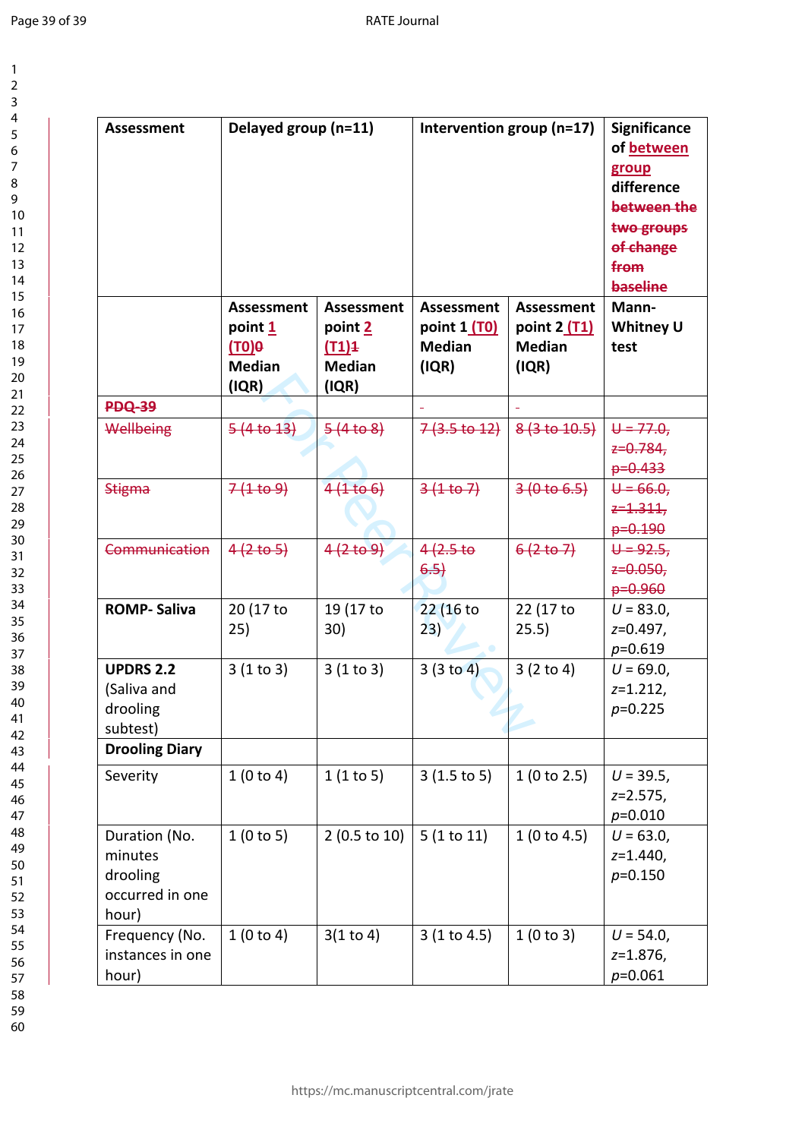| 1                   |  |
|---------------------|--|
| $\overline{c}$      |  |
| 3                   |  |
| 4                   |  |
| 5                   |  |
|                     |  |
| 6                   |  |
| 7                   |  |
| 8                   |  |
| 9                   |  |
| 10                  |  |
| 1<br>1              |  |
| $\overline{c}$<br>1 |  |
| 3<br>1              |  |
| $\overline{14}$     |  |
| 15                  |  |
| 16                  |  |
| 17                  |  |
| 18                  |  |
| 19                  |  |
|                     |  |
| 20                  |  |
| ر<br>21             |  |
| $\overline{2}$      |  |
| 23                  |  |
| 24                  |  |
| 25                  |  |
| 26                  |  |
| 27                  |  |
| 28                  |  |
| 29                  |  |
| 30                  |  |
| 31                  |  |
|                     |  |
| 32                  |  |
| 33                  |  |
| 34                  |  |
| 35                  |  |
| 36                  |  |
| 37                  |  |
| 3<br>ξ<br>Š         |  |
| 39                  |  |
| 40                  |  |
| 41                  |  |
| 42                  |  |
| 43                  |  |
|                     |  |
| 44                  |  |
| 45                  |  |
| 46                  |  |
| 47                  |  |
| 48                  |  |
| 49                  |  |
| 50                  |  |
| 51                  |  |
| 52                  |  |
| 5:<br>ξ             |  |
| 54                  |  |
| 55                  |  |
| 56                  |  |
|                     |  |
| 57                  |  |
| 58                  |  |
| 59                  |  |

| <b>Assessment</b>     | Delayed group (n=11)<br><b>Assessment</b><br><b>Assessment</b> |                         | Intervention group (n=17)<br><b>Assessment</b><br><b>Assessment</b> |               | <b>Significance</b><br>of between<br>group<br>difference<br>between the<br>two groups<br>of change<br>from<br>baseline<br>Mann- |
|-----------------------|----------------------------------------------------------------|-------------------------|---------------------------------------------------------------------|---------------|---------------------------------------------------------------------------------------------------------------------------------|
|                       | point 1                                                        | point 2                 | point 1 (T0)                                                        | point 2 (T1)  | <b>Whitney U</b>                                                                                                                |
|                       | $(10)$ <sup>O</sup>                                            | (11)4                   | <b>Median</b>                                                       | <b>Median</b> | test                                                                                                                            |
|                       | <b>Median</b>                                                  | <b>Median</b>           | (IQR)                                                               | (IQR)         |                                                                                                                                 |
|                       | (IQR)                                                          | (IQR)                   |                                                                     |               |                                                                                                                                 |
| <b>PDQ-39</b>         |                                                                |                         |                                                                     |               |                                                                                                                                 |
| Wellbeing             | 5(4 <sub>to 13</sub> )                                         | 5(4 to 8)               | $7(3.5 \text{ to } 12)$                                             | 8(3 to 10.5)  | $U = 77.0$                                                                                                                      |
|                       |                                                                |                         |                                                                     |               | $z=0.784$                                                                                                                       |
|                       |                                                                |                         |                                                                     |               | $p=0.433$                                                                                                                       |
| <b>Stigma</b>         | 7(1109)                                                        | 4(1106)                 | $3(1+67)$                                                           | 3(0 to 6.5)   | $U = 66.0$                                                                                                                      |
|                       |                                                                |                         |                                                                     |               | $z = 1.311$                                                                                                                     |
|                       |                                                                |                         |                                                                     |               | $p=0.190$                                                                                                                       |
| Communication         | 4(2 to 5)                                                      | 4(2 to 9)               | 4(2.5)                                                              | 6(2 to 7)     | $U = 92.5$                                                                                                                      |
|                       |                                                                |                         | 6.5)                                                                |               | $z=0.050$<br>$p=0.960$                                                                                                          |
| <b>ROMP-Saliva</b>    | 20 (17 to                                                      | 19 (17 to               | 22 (16 to                                                           | 22 (17 to     | $U = 83.0,$                                                                                                                     |
|                       | 25)                                                            | 30)                     | 23)                                                                 | 25.5)         | $z=0.497$ ,                                                                                                                     |
|                       |                                                                |                         |                                                                     |               | $p=0.619$                                                                                                                       |
| <b>UPDRS 2.2</b>      | 3(1 to 3)                                                      | 3(1 to 3)               | 3(3 to 4)                                                           | 3(2 to 4)     | $U = 69.0,$                                                                                                                     |
| (Saliva and           |                                                                |                         |                                                                     |               | $z=1.212$ ,                                                                                                                     |
| drooling              |                                                                |                         |                                                                     |               | $p=0.225$                                                                                                                       |
| subtest)              |                                                                |                         |                                                                     |               |                                                                                                                                 |
| <b>Drooling Diary</b> |                                                                |                         |                                                                     |               |                                                                                                                                 |
| Severity              | 1(0 to 4)                                                      | 1(1 to 5)               | $3(1.5 \text{ to } 5)$                                              | 1(0 to 2.5)   | $U = 39.5$ ,                                                                                                                    |
|                       |                                                                |                         |                                                                     |               | $z = 2.575$ ,                                                                                                                   |
|                       |                                                                |                         |                                                                     |               | $p=0.010$                                                                                                                       |
| Duration (No.         | 1(0 to 5)                                                      | $2(0.5 \text{ to } 10)$ | 5(1 to 11)                                                          | 1(0 to 4.5)   | $U = 63.0,$                                                                                                                     |
| minutes               |                                                                |                         |                                                                     |               | $z=1.440$ ,                                                                                                                     |
| drooling              |                                                                |                         |                                                                     |               | $p=0.150$                                                                                                                       |
| occurred in one       |                                                                |                         |                                                                     |               |                                                                                                                                 |
| hour)                 |                                                                |                         |                                                                     |               |                                                                                                                                 |
| Frequency (No.        | 1(0 to 4)                                                      | 3(1 to 4)               | 3(1 to 4.5)                                                         | 1(0 to 3)     | $U = 54.0,$                                                                                                                     |
| instances in one      |                                                                |                         |                                                                     |               | $z=1.876$ ,                                                                                                                     |
| hour)                 |                                                                |                         |                                                                     |               | $p = 0.061$                                                                                                                     |